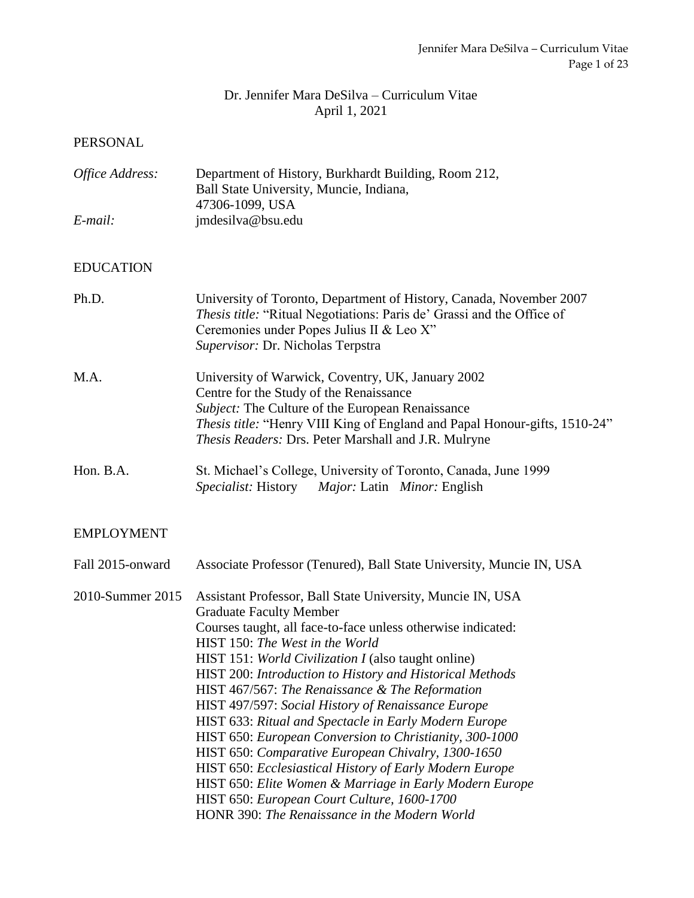### Dr. Jennifer Mara DeSilva – Curriculum Vitae April 1, 2021

#### PERSONAL

| Office Address: | Department of History, Burkhardt Building, Room 212, |
|-----------------|------------------------------------------------------|
|                 | Ball State University, Muncie, Indiana,              |
|                 | 47306-1099, USA                                      |
| E-mail:         | jmdesilva@bsu.edu                                    |

#### EDUCATION

| Ph.D.     | University of Toronto, Department of History, Canada, November 2007<br><i>Thesis title:</i> "Ritual Negotiations: Paris de' Grassi and the Office of |
|-----------|------------------------------------------------------------------------------------------------------------------------------------------------------|
|           | Ceremonies under Popes Julius II & Leo X"                                                                                                            |
|           | Supervisor: Dr. Nicholas Terpstra                                                                                                                    |
| M.A.      | University of Warwick, Coventry, UK, January 2002                                                                                                    |
|           | Centre for the Study of the Renaissance                                                                                                              |
|           | <i>Subject:</i> The Culture of the European Renaissance                                                                                              |
|           | <i>Thesis title:</i> "Henry VIII King of England and Papal Honour-gifts, 1510-24"                                                                    |
|           | <i>Thesis Readers: Drs. Peter Marshall and J.R. Mulryne</i>                                                                                          |
| Hon. B.A. | St. Michael's College, University of Toronto, Canada, June 1999                                                                                      |

# *Specialist:* History *Major:* Latin *Minor:* English

### EMPLOYMENT

| Fall 2015-onward | Associate Professor (Tenured), Ball State University, Muncie IN, USA                                                                                                                                                                                                                                                                                                                                                                                                                                                                                                                                                                                                                                                                                                       |
|------------------|----------------------------------------------------------------------------------------------------------------------------------------------------------------------------------------------------------------------------------------------------------------------------------------------------------------------------------------------------------------------------------------------------------------------------------------------------------------------------------------------------------------------------------------------------------------------------------------------------------------------------------------------------------------------------------------------------------------------------------------------------------------------------|
| 2010-Summer 2015 | Assistant Professor, Ball State University, Muncie IN, USA<br><b>Graduate Faculty Member</b><br>Courses taught, all face-to-face unless otherwise indicated:<br>HIST 150: The West in the World<br>HIST 151: World Civilization I (also taught online)<br>HIST 200: Introduction to History and Historical Methods<br>HIST 467/567: The Renaissance & The Reformation<br>HIST 497/597: Social History of Renaissance Europe<br>HIST 633: Ritual and Spectacle in Early Modern Europe<br>HIST 650: European Conversion to Christianity, 300-1000<br>HIST 650: Comparative European Chivalry, 1300-1650<br>HIST 650: Ecclesiastical History of Early Modern Europe<br>HIST 650: Elite Women & Marriage in Early Modern Europe<br>HIST 650: European Court Culture, 1600-1700 |
|                  | HONR 390: The Renaissance in the Modern World                                                                                                                                                                                                                                                                                                                                                                                                                                                                                                                                                                                                                                                                                                                              |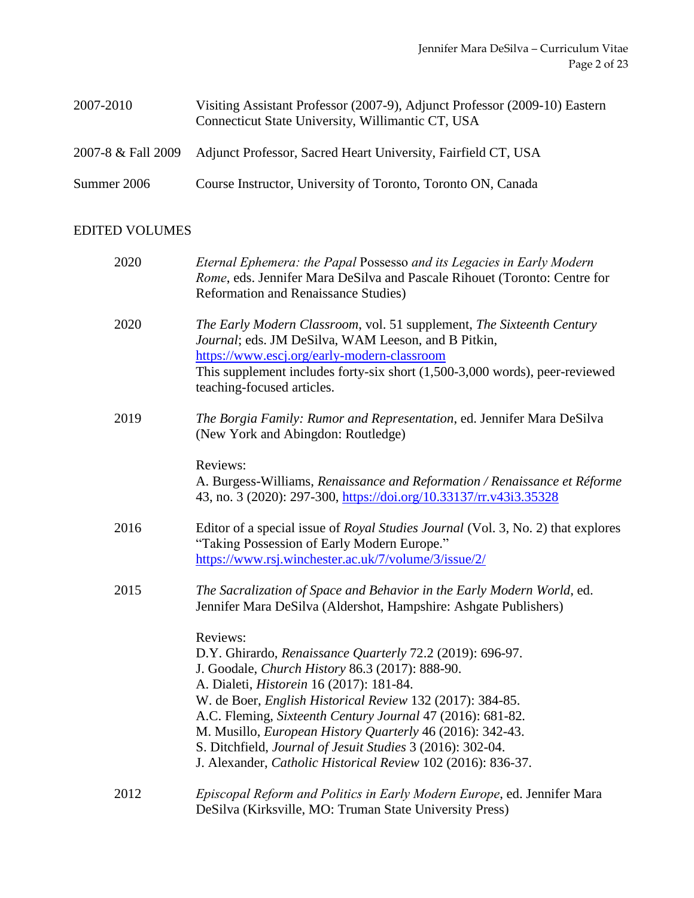| 2007-2010   | Visiting Assistant Professor (2007-9), Adjunct Professor (2009-10) Eastern<br>Connecticut State University, Willimantic CT, USA |
|-------------|---------------------------------------------------------------------------------------------------------------------------------|
|             | 2007-8 & Fall 2009 Adjunct Professor, Sacred Heart University, Fairfield CT, USA                                                |
| Summer 2006 | Course Instructor, University of Toronto, Toronto ON, Canada                                                                    |

### EDITED VOLUMES

| 2020 | Eternal Ephemera: the Papal Possesso and its Legacies in Early Modern<br>Rome, eds. Jennifer Mara DeSilva and Pascale Rihouet (Toronto: Centre for<br><b>Reformation and Renaissance Studies)</b>                                                                                                                                                                                                                                                                                                 |
|------|---------------------------------------------------------------------------------------------------------------------------------------------------------------------------------------------------------------------------------------------------------------------------------------------------------------------------------------------------------------------------------------------------------------------------------------------------------------------------------------------------|
| 2020 | The Early Modern Classroom, vol. 51 supplement, The Sixteenth Century<br>Journal; eds. JM DeSilva, WAM Leeson, and B Pitkin,<br>https://www.escj.org/early-modern-classroom<br>This supplement includes forty-six short (1,500-3,000 words), peer-reviewed<br>teaching-focused articles.                                                                                                                                                                                                          |
| 2019 | The Borgia Family: Rumor and Representation, ed. Jennifer Mara DeSilva<br>(New York and Abingdon: Routledge)                                                                                                                                                                                                                                                                                                                                                                                      |
|      | Reviews:<br>A. Burgess-Williams, Renaissance and Reformation / Renaissance et Réforme<br>43, no. 3 (2020): 297-300, https://doi.org/10.33137/rr.v43i3.35328                                                                                                                                                                                                                                                                                                                                       |
| 2016 | Editor of a special issue of <i>Royal Studies Journal</i> (Vol. 3, No. 2) that explores<br>"Taking Possession of Early Modern Europe."<br>https://www.rsj.winchester.ac.uk/7/volume/3/issue/2/                                                                                                                                                                                                                                                                                                    |
| 2015 | The Sacralization of Space and Behavior in the Early Modern World, ed.<br>Jennifer Mara DeSilva (Aldershot, Hampshire: Ashgate Publishers)                                                                                                                                                                                                                                                                                                                                                        |
|      | Reviews:<br>D.Y. Ghirardo, Renaissance Quarterly 72.2 (2019): 696-97.<br>J. Goodale, Church History 86.3 (2017): 888-90.<br>A. Dialeti, <i>Historein</i> 16 (2017): 181-84.<br>W. de Boer, English Historical Review 132 (2017): 384-85.<br>A.C. Fleming, Sixteenth Century Journal 47 (2016): 681-82.<br>M. Musillo, European History Quarterly 46 (2016): 342-43.<br>S. Ditchfield, Journal of Jesuit Studies 3 (2016): 302-04.<br>J. Alexander, Catholic Historical Review 102 (2016): 836-37. |
| 2012 | Episcopal Reform and Politics in Early Modern Europe, ed. Jennifer Mara<br>DeSilva (Kirksville, MO: Truman State University Press)                                                                                                                                                                                                                                                                                                                                                                |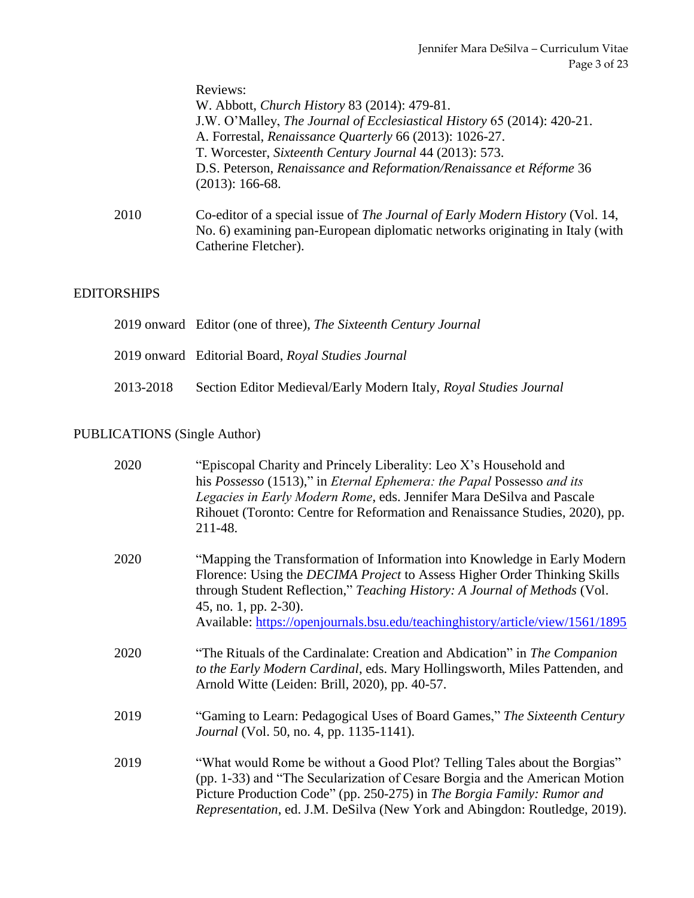|      | Reviews:                                                                                  |
|------|-------------------------------------------------------------------------------------------|
|      | W. Abbott, Church History 83 (2014): 479-81.                                              |
|      | J.W. O'Malley, The Journal of Ecclesiastical History 65 (2014): 420-21.                   |
|      | A. Forrestal, Renaissance Quarterly 66 (2013): 1026-27.                                   |
|      | T. Worcester, Sixteenth Century Journal 44 (2013): 573.                                   |
|      | D.S. Peterson, Renaissance and Reformation/Renaissance et Réforme 36<br>$(2013): 166-68.$ |
| 2010 | Co-editor of a special issue of The Journal of Early Modern History (Vol. 14,             |
|      | No. 6) examining pan-European diplomatic networks originating in Italy (with              |
|      | Catherine Fletcher).                                                                      |

### EDITORSHIPS

|           | 2019 onward Editor (one of three), The Sixteenth Century Journal  |
|-----------|-------------------------------------------------------------------|
|           | 2019 onward Editorial Board, Royal Studies Journal                |
| 2013-2018 | Section Editor Medieval/Early Modern Italy, Royal Studies Journal |

### PUBLICATIONS (Single Author)

| "Episcopal Charity and Princely Liberality: Leo X's Household and<br>his Possesso (1513)," in Eternal Ephemera: the Papal Possesso and its<br>Legacies in Early Modern Rome, eds. Jennifer Mara DeSilva and Pascale<br>Rihouet (Toronto: Centre for Reformation and Renaissance Studies, 2020), pp.<br>211-48.                                        |
|-------------------------------------------------------------------------------------------------------------------------------------------------------------------------------------------------------------------------------------------------------------------------------------------------------------------------------------------------------|
| "Mapping the Transformation of Information into Knowledge in Early Modern<br>Florence: Using the <i>DECIMA Project</i> to Assess Higher Order Thinking Skills<br>through Student Reflection," Teaching History: A Journal of Methods (Vol.<br>45, no. 1, pp. 2-30).<br>Available: https://openjournals.bsu.edu/teachinghistory/article/view/1561/1895 |
| "The Rituals of the Cardinalate: Creation and Abdication" in The Companion<br>to the Early Modern Cardinal, eds. Mary Hollingsworth, Miles Pattenden, and<br>Arnold Witte (Leiden: Brill, 2020), pp. 40-57.                                                                                                                                           |
| "Gaming to Learn: Pedagogical Uses of Board Games," The Sixteenth Century<br><i>Journal</i> (Vol. 50, no. 4, pp. 1135-1141).                                                                                                                                                                                                                          |
| "What would Rome be without a Good Plot? Telling Tales about the Borgias"<br>(pp. 1-33) and "The Secularization of Cesare Borgia and the American Motion<br>Picture Production Code" (pp. 250-275) in The Borgia Family: Rumor and<br>Representation, ed. J.M. DeSilva (New York and Abingdon: Routledge, 2019).                                      |
|                                                                                                                                                                                                                                                                                                                                                       |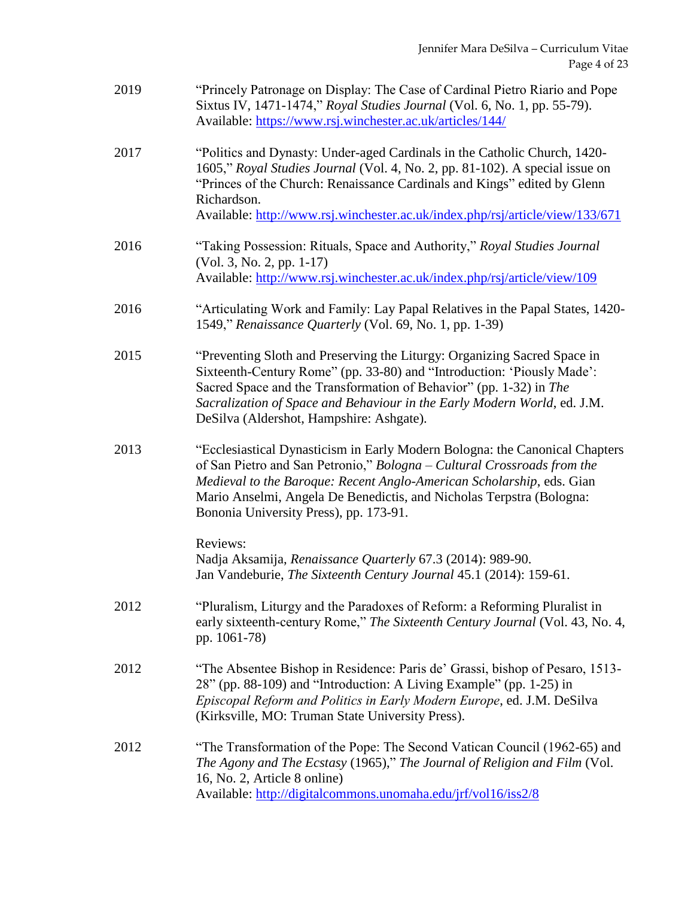| 2019 | "Princely Patronage on Display: The Case of Cardinal Pietro Riario and Pope<br>Sixtus IV, 1471-1474," Royal Studies Journal (Vol. 6, No. 1, pp. 55-79).<br>Available: https://www.rsj.winchester.ac.uk/articles/144/                                                                                                                              |
|------|---------------------------------------------------------------------------------------------------------------------------------------------------------------------------------------------------------------------------------------------------------------------------------------------------------------------------------------------------|
| 2017 | "Politics and Dynasty: Under-aged Cardinals in the Catholic Church, 1420-<br>1605," Royal Studies Journal (Vol. 4, No. 2, pp. 81-102). A special issue on<br>"Princes of the Church: Renaissance Cardinals and Kings" edited by Glenn<br>Richardson.                                                                                              |
|      | Available: http://www.rsj.winchester.ac.uk/index.php/rsj/article/view/133/671                                                                                                                                                                                                                                                                     |
| 2016 | "Taking Possession: Rituals, Space and Authority," Royal Studies Journal<br>(Vol. 3, No. 2, pp. 1-17)<br>Available: http://www.rsj.winchester.ac.uk/index.php/rsj/article/view/109                                                                                                                                                                |
| 2016 | "Articulating Work and Family: Lay Papal Relatives in the Papal States, 1420-<br>1549," Renaissance Quarterly (Vol. 69, No. 1, pp. 1-39)                                                                                                                                                                                                          |
| 2015 | "Preventing Sloth and Preserving the Liturgy: Organizing Sacred Space in<br>Sixteenth-Century Rome" (pp. 33-80) and "Introduction: 'Piously Made':<br>Sacred Space and the Transformation of Behavior" (pp. 1-32) in The<br>Sacralization of Space and Behaviour in the Early Modern World, ed. J.M.<br>DeSilva (Aldershot, Hampshire: Ashgate).  |
| 2013 | "Ecclesiastical Dynasticism in Early Modern Bologna: the Canonical Chapters<br>of San Pietro and San Petronio," Bologna - Cultural Crossroads from the<br>Medieval to the Baroque: Recent Anglo-American Scholarship, eds. Gian<br>Mario Anselmi, Angela De Benedictis, and Nicholas Terpstra (Bologna:<br>Bononia University Press), pp. 173-91. |
|      | Reviews:<br>Nadja Aksamija, Renaissance Quarterly 67.3 (2014): 989-90.<br>Jan Vandeburie, The Sixteenth Century Journal 45.1 (2014): 159-61.                                                                                                                                                                                                      |
| 2012 | "Pluralism, Liturgy and the Paradoxes of Reform: a Reforming Pluralist in<br>early sixteenth-century Rome," The Sixteenth Century Journal (Vol. 43, No. 4,<br>pp. 1061-78)                                                                                                                                                                        |
| 2012 | "The Absentee Bishop in Residence: Paris de' Grassi, bishop of Pesaro, 1513-<br>28" (pp. 88-109) and "Introduction: A Living Example" (pp. 1-25) in<br>Episcopal Reform and Politics in Early Modern Europe, ed. J.M. DeSilva<br>(Kirksville, MO: Truman State University Press).                                                                 |
| 2012 | "The Transformation of the Pope: The Second Vatican Council (1962-65) and<br>The Agony and The Ecstasy (1965)," The Journal of Religion and Film (Vol.<br>16, No. 2, Article 8 online)<br>Available: http://digitalcommons.unomaha.edu/jrf/vol16/iss2/8                                                                                           |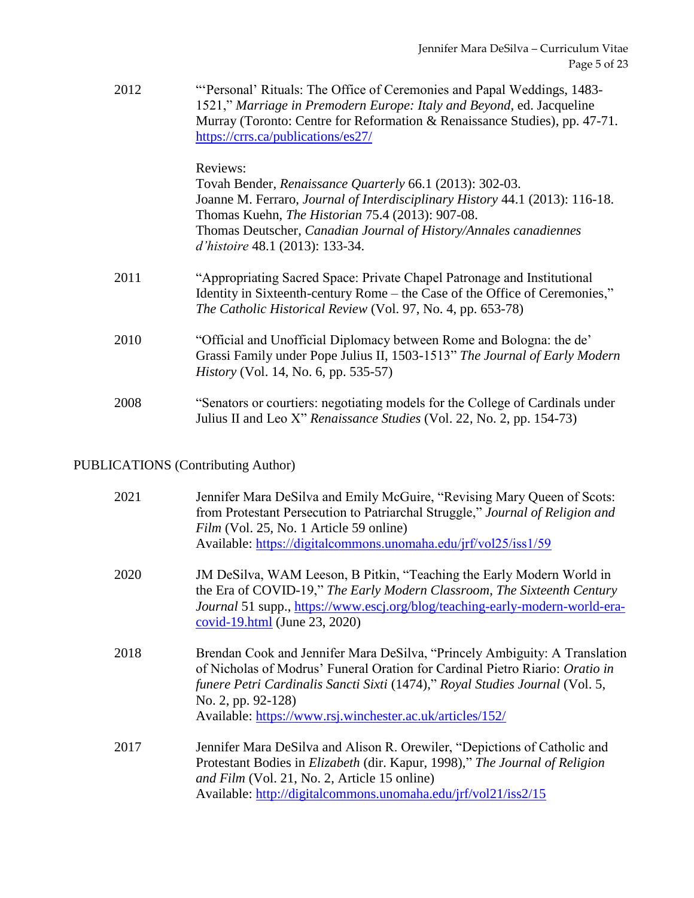| 2012 | "Personal' Rituals: The Office of Ceremonies and Papal Weddings, 1483-     |
|------|----------------------------------------------------------------------------|
|      | 1521," Marriage in Premodern Europe: Italy and Beyond, ed. Jacqueline      |
|      | Murray (Toronto: Centre for Reformation & Renaissance Studies), pp. 47-71. |
|      | https://crrs.ca/publications/es27/                                         |

#### Reviews:

Tovah Bender, *Renaissance Quarterly* 66.1 (2013): 302-03. Joanne M. Ferraro, *Journal of Interdisciplinary History* 44.1 (2013): 116-18. Thomas Kuehn, *The Historian* 75.4 (2013): 907-08. Thomas Deutscher, *Canadian Journal of History/Annales canadiennes d'histoire* 48.1 (2013): 133-34.

- 2011 "Appropriating Sacred Space: Private Chapel Patronage and Institutional Identity in Sixteenth-century Rome – the Case of the Office of Ceremonies," *The Catholic Historical Review* (Vol. 97, No. 4, pp. 653-78)
- 2010 "Official and Unofficial Diplomacy between Rome and Bologna: the de' Grassi Family under Pope Julius II, 1503-1513" *The Journal of Early Modern History* (Vol. 14, No. 6, pp. 535-57)
- 2008 "Senators or courtiers: negotiating models for the College of Cardinals under Julius II and Leo X" *Renaissance Studies* (Vol. 22, No. 2, pp. 154-73)

#### PUBLICATIONS (Contributing Author)

| 2021 | Jennifer Mara DeSilva and Emily McGuire, "Revising Mary Queen of Scots:<br>from Protestant Persecution to Patriarchal Struggle," Journal of Religion and<br>Film (Vol. 25, No. 1 Article 59 online)<br>Available: https://digitalcommons.unomaha.edu/jrf/vol25/iss1/59                                                               |
|------|--------------------------------------------------------------------------------------------------------------------------------------------------------------------------------------------------------------------------------------------------------------------------------------------------------------------------------------|
| 2020 | JM DeSilva, WAM Leeson, B Pitkin, "Teaching the Early Modern World in<br>the Era of COVID-19," The Early Modern Classroom, The Sixteenth Century<br>Journal 51 supp., https://www.escj.org/blog/teaching-early-modern-world-era-<br>$\frac{\text{covid-19.html}}{\text{Lum23}}$ (June 23, 2020)                                      |
| 2018 | Brendan Cook and Jennifer Mara DeSilva, "Princely Ambiguity: A Translation<br>of Nicholas of Modrus' Funeral Oration for Cardinal Pietro Riario: <i>Oratio in</i><br>funere Petri Cardinalis Sancti Sixti (1474)," Royal Studies Journal (Vol. 5,<br>No. 2, pp. 92-128)<br>Available: https://www.rsj.winchester.ac.uk/articles/152/ |
| 2017 | Jennifer Mara DeSilva and Alison R. Orewiler, "Depictions of Catholic and<br>Protestant Bodies in <i>Elizabeth</i> (dir. Kapur, 1998)," The Journal of Religion<br>and Film (Vol. 21, No. 2, Article 15 online)<br>Available: http://digitalcommons.unomaha.edu/jrf/vol21/iss2/15                                                    |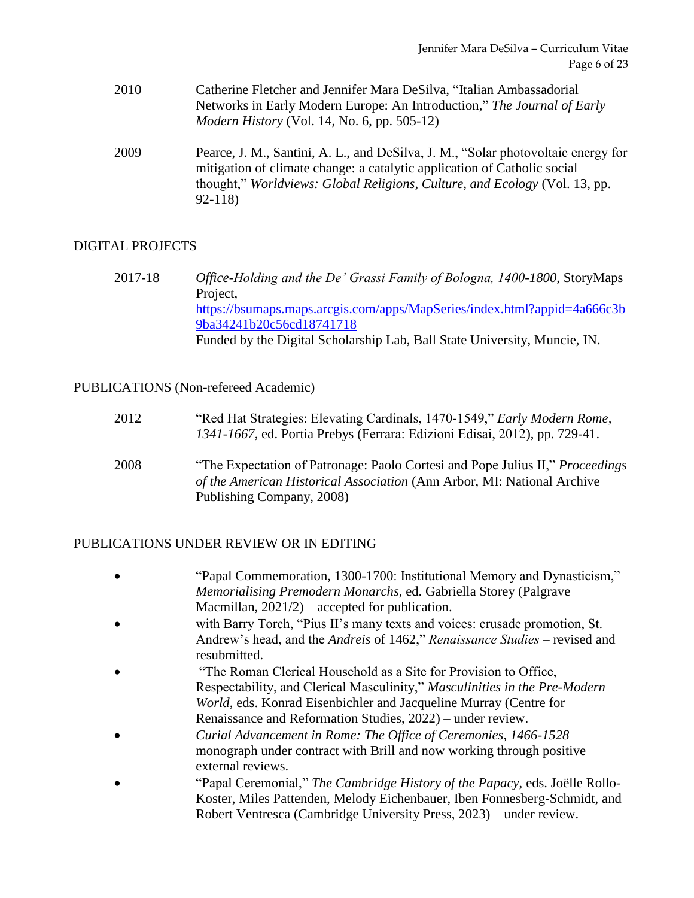- 2010 Catherine Fletcher and Jennifer Mara DeSilva, "Italian Ambassadorial Networks in Early Modern Europe: An Introduction," *The Journal of Early Modern History* (Vol. 14, No. 6, pp. 505-12)
- 2009 Pearce, J. M., Santini, A. L., and DeSilva, J. M., "Solar photovoltaic energy for mitigation of climate change: a catalytic application of Catholic social thought," *Worldviews: Global Religions, Culture, and Ecology* (Vol. 13, pp. 92-118)

### DIGITAL PROJECTS

2017-18 *Office-Holding and the De' Grassi Family of Bologna, 1400-1800*, StoryMaps Project, [https://bsumaps.maps.arcgis.com/apps/MapSeries/index.html?appid=4a666c3b](https://bsumaps.maps.arcgis.com/apps/MapSeries/index.html?appid=4a666c3b9ba34241b20c56cd18741718) [9ba34241b20c56cd18741718](https://bsumaps.maps.arcgis.com/apps/MapSeries/index.html?appid=4a666c3b9ba34241b20c56cd18741718) Funded by the Digital Scholarship Lab, Ball State University, Muncie, IN.

#### PUBLICATIONS (Non-refereed Academic)

| 2012 | "Red Hat Strategies: Elevating Cardinals, 1470-1549," Early Modern Rome,<br>1341-1667, ed. Portia Prebys (Ferrara: Edizioni Edisai, 2012), pp. 729-41.                                |
|------|---------------------------------------------------------------------------------------------------------------------------------------------------------------------------------------|
| 2008 | "The Expectation of Patronage: Paolo Cortesi and Pope Julius II," Proceedings<br>of the American Historical Association (Ann Arbor, MI: National Archive<br>Publishing Company, 2008) |

#### PUBLICATIONS UNDER REVIEW OR IN EDITING

- "Papal Commemoration, 1300-1700: Institutional Memory and Dynasticism," *Memorialising Premodern Monarchs*, ed. Gabriella Storey (Palgrave Macmillan, 2021/2) – accepted for publication.
- with Barry Torch, "Pius II's many texts and voices: crusade promotion, St. Andrew's head, and the *Andreis* of 1462," *Renaissance Studies* – revised and resubmitted.
- "The Roman Clerical Household as a Site for Provision to Office, Respectability, and Clerical Masculinity," *Masculinities in the Pre-Modern World*, eds. Konrad Eisenbichler and Jacqueline Murray (Centre for Renaissance and Reformation Studies, 2022) – under review.
- *Curial Advancement in Rome: The Office of Ceremonies, 1466-1528* monograph under contract with Brill and now working through positive external reviews.
- "Papal Ceremonial," *The Cambridge History of the Papacy*, eds. Joëlle Rollo-Koster, Miles Pattenden, Melody Eichenbauer, Iben Fonnesberg-Schmidt, and Robert Ventresca (Cambridge University Press, 2023) – under review.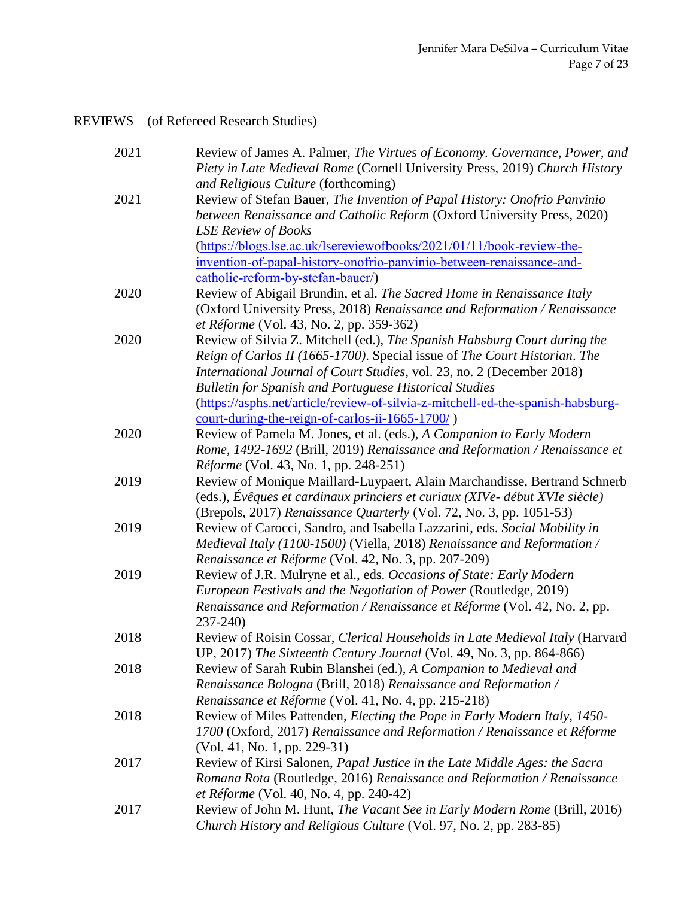# REVIEWS – (of Refereed Research Studies)

| 2021 | Review of James A. Palmer, The Virtues of Economy. Governance, Power, and<br>Piety in Late Medieval Rome (Cornell University Press, 2019) Church History |
|------|----------------------------------------------------------------------------------------------------------------------------------------------------------|
|      | and Religious Culture (forthcoming)                                                                                                                      |
| 2021 | Review of Stefan Bauer, The Invention of Papal History: Onofrio Panvinio                                                                                 |
|      | between Renaissance and Catholic Reform (Oxford University Press, 2020)                                                                                  |
|      | <b>LSE Review of Books</b>                                                                                                                               |
|      | (https://blogs.lse.ac.uk/lsereviewofbooks/2021/01/11/book-review-the-                                                                                    |
|      | invention-of-papal-history-onofrio-panvinio-between-renaissance-and-                                                                                     |
|      | catholic-reform-by-stefan-bauer/)                                                                                                                        |
| 2020 | Review of Abigail Brundin, et al. The Sacred Home in Renaissance Italy                                                                                   |
|      | (Oxford University Press, 2018) Renaissance and Reformation / Renaissance                                                                                |
|      | et Réforme (Vol. 43, No. 2, pp. 359-362)                                                                                                                 |
| 2020 | Review of Silvia Z. Mitchell (ed.), The Spanish Habsburg Court during the                                                                                |
|      | Reign of Carlos II (1665-1700). Special issue of The Court Historian. The                                                                                |
|      | International Journal of Court Studies, vol. 23, no. 2 (December 2018)                                                                                   |
|      | <b>Bulletin for Spanish and Portuguese Historical Studies</b>                                                                                            |
|      | (https://asphs.net/article/review-of-silvia-z-mitchell-ed-the-spanish-habsburg-                                                                          |
|      | court-during-the-reign-of-carlos-ii-1665-1700/)                                                                                                          |
| 2020 | Review of Pamela M. Jones, et al. (eds.), A Companion to Early Modern                                                                                    |
|      | Rome, 1492-1692 (Brill, 2019) Renaissance and Reformation / Renaissance et                                                                               |
|      | Réforme (Vol. 43, No. 1, pp. 248-251)                                                                                                                    |
| 2019 | Review of Monique Maillard-Luypaert, Alain Marchandisse, Bertrand Schnerb                                                                                |
|      | (eds.), Évêques et cardinaux princiers et curiaux (XIVe- début XVIe siècle)                                                                              |
|      | (Brepols, 2017) Renaissance Quarterly (Vol. 72, No. 3, pp. 1051-53)                                                                                      |
| 2019 | Review of Carocci, Sandro, and Isabella Lazzarini, eds. Social Mobility in                                                                               |
|      | Medieval Italy (1100-1500) (Viella, 2018) Renaissance and Reformation /                                                                                  |
|      | Renaissance et Réforme (Vol. 42, No. 3, pp. 207-209)                                                                                                     |
| 2019 | Review of J.R. Mulryne et al., eds. Occasions of State: Early Modern                                                                                     |
|      | European Festivals and the Negotiation of Power (Routledge, 2019)                                                                                        |
|      | Renaissance and Reformation / Renaissance et Réforme (Vol. 42, No. 2, pp.                                                                                |
|      | $237 - 240$                                                                                                                                              |
| 2018 | Review of Roisin Cossar, Clerical Households in Late Medieval Italy (Harvard                                                                             |
|      | UP, 2017) The Sixteenth Century Journal (Vol. 49, No. 3, pp. 864-866)                                                                                    |
| 2018 | Review of Sarah Rubin Blanshei (ed.), A Companion to Medieval and                                                                                        |
|      | Renaissance Bologna (Brill, 2018) Renaissance and Reformation /                                                                                          |
|      | Renaissance et Réforme (Vol. 41, No. 4, pp. 215-218)                                                                                                     |
| 2018 | Review of Miles Pattenden, Electing the Pope in Early Modern Italy, 1450-                                                                                |
|      | 1700 (Oxford, 2017) Renaissance and Reformation / Renaissance et Réforme                                                                                 |
|      | $(Vol. 41, No. 1, pp. 229-31)$                                                                                                                           |
| 2017 | Review of Kirsi Salonen, Papal Justice in the Late Middle Ages: the Sacra                                                                                |
|      | Romana Rota (Routledge, 2016) Renaissance and Reformation / Renaissance                                                                                  |
|      | et Réforme (Vol. 40, No. 4, pp. 240-42)                                                                                                                  |
| 2017 | Review of John M. Hunt, The Vacant See in Early Modern Rome (Brill, 2016)                                                                                |
|      | Church History and Religious Culture (Vol. 97, No. 2, pp. 283-85)                                                                                        |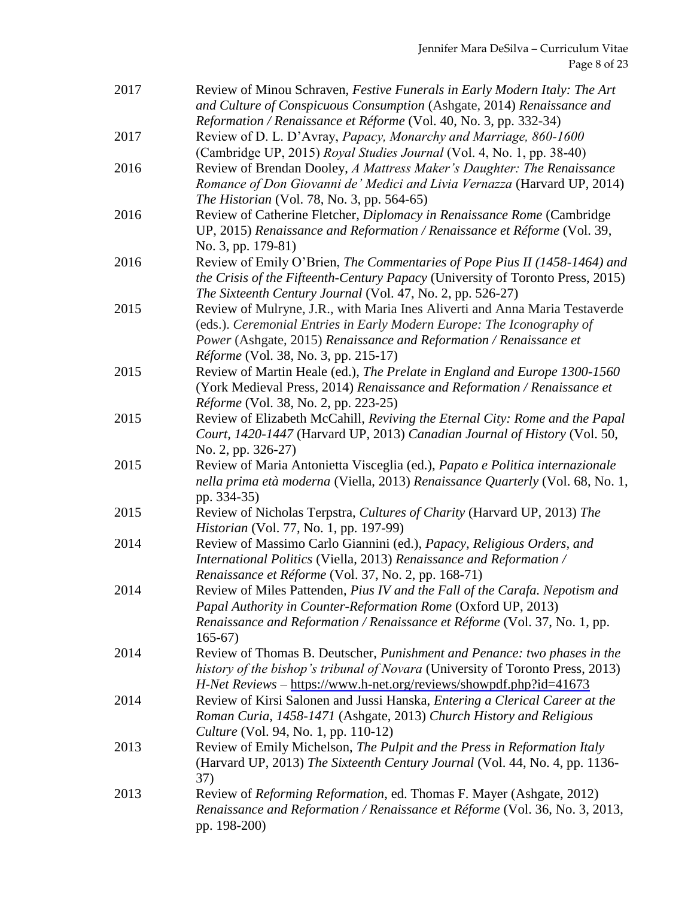| 2017 | Review of Minou Schraven, Festive Funerals in Early Modern Italy: The Art<br>and Culture of Conspicuous Consumption (Ashgate, 2014) Renaissance and         |
|------|-------------------------------------------------------------------------------------------------------------------------------------------------------------|
| 2017 | Reformation / Renaissance et Réforme (Vol. 40, No. 3, pp. 332-34)<br>Review of D. L. D'Avray, Papacy, Monarchy and Marriage, 860-1600                       |
|      | (Cambridge UP, 2015) Royal Studies Journal (Vol. 4, No. 1, pp. 38-40)                                                                                       |
| 2016 | Review of Brendan Dooley, A Mattress Maker's Daughter: The Renaissance                                                                                      |
|      | Romance of Don Giovanni de' Medici and Livia Vernazza (Harvard UP, 2014)<br><i>The Historian</i> (Vol. 78, No. 3, pp. 564-65)                               |
| 2016 | Review of Catherine Fletcher, Diplomacy in Renaissance Rome (Cambridge<br>UP, 2015) Renaissance and Reformation / Renaissance et Réforme (Vol. 39,          |
|      | No. 3, pp. 179-81)                                                                                                                                          |
| 2016 | Review of Emily O'Brien, The Commentaries of Pope Pius II (1458-1464) and<br>the Crisis of the Fifteenth-Century Papacy (University of Toronto Press, 2015) |
|      | The Sixteenth Century Journal (Vol. 47, No. 2, pp. 526-27)                                                                                                  |
| 2015 | Review of Mulryne, J.R., with Maria Ines Aliverti and Anna Maria Testaverde<br>(eds.). Ceremonial Entries in Early Modern Europe: The Iconography of        |
|      | Power (Ashgate, 2015) Renaissance and Reformation / Renaissance et<br><i>Réforme</i> (Vol. 38, No. 3, pp. 215-17)                                           |
| 2015 | Review of Martin Heale (ed.), The Prelate in England and Europe 1300-1560                                                                                   |
|      | (York Medieval Press, 2014) Renaissance and Reformation / Renaissance et                                                                                    |
|      | <i>Réforme</i> (Vol. 38, No. 2, pp. 223-25)                                                                                                                 |
| 2015 | Review of Elizabeth McCahill, Reviving the Eternal City: Rome and the Papal                                                                                 |
|      | Court, 1420-1447 (Harvard UP, 2013) Canadian Journal of History (Vol. 50,<br>No. 2, pp. 326-27)                                                             |
| 2015 | Review of Maria Antonietta Visceglia (ed.), Papato e Politica internazionale                                                                                |
|      | nella prima età moderna (Viella, 2013) Renaissance Quarterly (Vol. 68, No. 1,<br>pp. 334-35)                                                                |
| 2015 | Review of Nicholas Terpstra, Cultures of Charity (Harvard UP, 2013) The<br><i>Historian</i> (Vol. 77, No. 1, pp. 197-99)                                    |
| 2014 | Review of Massimo Carlo Giannini (ed.), Papacy, Religious Orders, and                                                                                       |
|      | International Politics (Viella, 2013) Renaissance and Reformation /<br>Renaissance et Réforme (Vol. 37, No. 2, pp. 168-71)                                  |
| 2014 | Review of Miles Pattenden, Pius IV and the Fall of the Carafa. Nepotism and                                                                                 |
|      | Papal Authority in Counter-Reformation Rome (Oxford UP, 2013)                                                                                               |
|      | Renaissance and Reformation / Renaissance et Réforme (Vol. 37, No. 1, pp.<br>$165-67$                                                                       |
| 2014 | Review of Thomas B. Deutscher, Punishment and Penance: two phases in the                                                                                    |
|      | history of the bishop's tribunal of Novara (University of Toronto Press, 2013)                                                                              |
|      | H-Net Reviews - https://www.h-net.org/reviews/showpdf.php?id=41673                                                                                          |
| 2014 | Review of Kirsi Salonen and Jussi Hanska, Entering a Clerical Career at the                                                                                 |
|      | Roman Curia, 1458-1471 (Ashgate, 2013) Church History and Religious<br><i>Culture</i> (Vol. 94, No. 1, pp. 110-12)                                          |
| 2013 | Review of Emily Michelson, The Pulpit and the Press in Reformation Italy                                                                                    |
|      | (Harvard UP, 2013) The Sixteenth Century Journal (Vol. 44, No. 4, pp. 1136-<br>37)                                                                          |
| 2013 | Review of Reforming Reformation, ed. Thomas F. Mayer (Ashgate, 2012)                                                                                        |
|      | Renaissance and Reformation / Renaissance et Réforme (Vol. 36, No. 3, 2013,<br>pp. 198-200)                                                                 |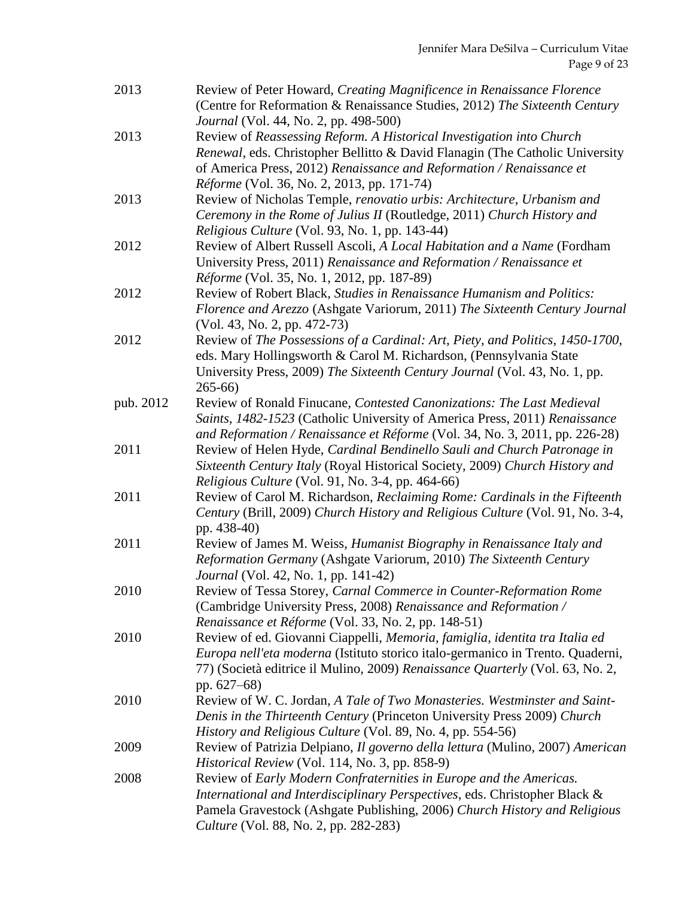| 2013      | Review of Peter Howard, Creating Magnificence in Renaissance Florence<br>(Centre for Reformation & Renaissance Studies, 2012) The Sixteenth Century                                                                                                                           |
|-----------|-------------------------------------------------------------------------------------------------------------------------------------------------------------------------------------------------------------------------------------------------------------------------------|
| 2013      | <i>Journal</i> (Vol. 44, No. 2, pp. 498-500)<br>Review of Reassessing Reform. A Historical Investigation into Church<br>Renewal, eds. Christopher Bellitto & David Flanagin (The Catholic University<br>of America Press, 2012) Renaissance and Reformation / Renaissance et  |
| 2013      | Réforme (Vol. 36, No. 2, 2013, pp. 171-74)<br>Review of Nicholas Temple, renovatio urbis: Architecture, Urbanism and<br>Ceremony in the Rome of Julius II (Routledge, 2011) Church History and<br>Religious Culture (Vol. 93, No. 1, pp. 143-44)                              |
| 2012      | Review of Albert Russell Ascoli, A Local Habitation and a Name (Fordham<br>University Press, 2011) Renaissance and Reformation / Renaissance et<br><i>Réforme</i> (Vol. 35, No. 1, 2012, pp. 187-89)                                                                          |
| 2012      | Review of Robert Black, Studies in Renaissance Humanism and Politics:<br>Florence and Arezzo (Ashgate Variorum, 2011) The Sixteenth Century Journal<br>$(Vol. 43, No. 2, pp. 472-73)$                                                                                         |
| 2012      | Review of The Possessions of a Cardinal: Art, Piety, and Politics, 1450-1700,<br>eds. Mary Hollingsworth & Carol M. Richardson, (Pennsylvania State<br>University Press, 2009) The Sixteenth Century Journal (Vol. 43, No. 1, pp.<br>$265 - 66$                               |
| pub. 2012 | Review of Ronald Finucane, Contested Canonizations: The Last Medieval<br>Saints, 1482-1523 (Catholic University of America Press, 2011) Renaissance<br>and Reformation / Renaissance et Réforme (Vol. 34, No. 3, 2011, pp. 226-28)                                            |
| 2011      | Review of Helen Hyde, Cardinal Bendinello Sauli and Church Patronage in<br>Sixteenth Century Italy (Royal Historical Society, 2009) Church History and<br><i>Religious Culture</i> (Vol. 91, No. 3-4, pp. 464-66)                                                             |
| 2011      | Review of Carol M. Richardson, Reclaiming Rome: Cardinals in the Fifteenth<br>Century (Brill, 2009) Church History and Religious Culture (Vol. 91, No. 3-4,<br>pp. 438-40)                                                                                                    |
| 2011      | Review of James M. Weiss, Humanist Biography in Renaissance Italy and<br>Reformation Germany (Ashgate Variorum, 2010) The Sixteenth Century<br><i>Journal</i> (Vol. 42, No. 1, pp. 141-42)                                                                                    |
| 2010      | Review of Tessa Storey, Carnal Commerce in Counter-Reformation Rome<br>(Cambridge University Press, 2008) Renaissance and Reformation /<br>Renaissance et Réforme (Vol. 33, No. 2, pp. 148-51)                                                                                |
| 2010      | Review of ed. Giovanni Ciappelli, Memoria, famiglia, identita tra Italia ed<br>Europa nell'eta moderna (Istituto storico italo-germanico in Trento. Quaderni,<br>77) (Società editrice il Mulino, 2009) Renaissance Quarterly (Vol. 63, No. 2,<br>pp. $627-68$ )              |
| 2010      | Review of W. C. Jordan, A Tale of Two Monasteries. Westminster and Saint-<br>Denis in the Thirteenth Century (Princeton University Press 2009) Church<br>History and Religious Culture (Vol. 89, No. 4, pp. 554-56)                                                           |
| 2009      | Review of Patrizia Delpiano, Il governo della lettura (Mulino, 2007) American<br>Historical Review (Vol. 114, No. 3, pp. 858-9)                                                                                                                                               |
| 2008      | Review of Early Modern Confraternities in Europe and the Americas.<br>International and Interdisciplinary Perspectives, eds. Christopher Black &<br>Pamela Gravestock (Ashgate Publishing, 2006) Church History and Religious<br><i>Culture</i> (Vol. 88, No. 2, pp. 282-283) |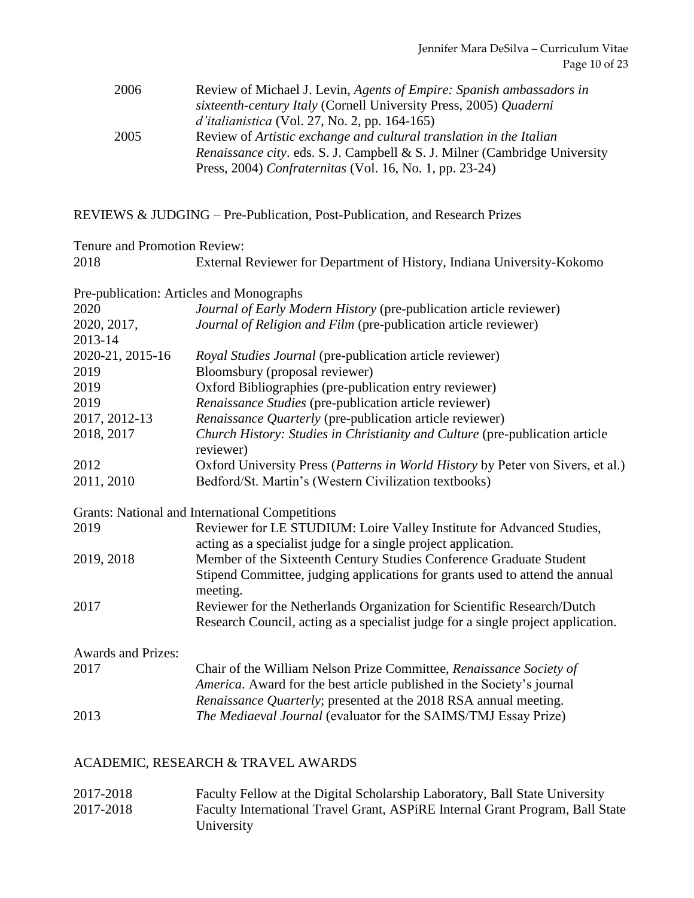| 2006 | Review of Michael J. Levin, Agents of Empire: Spanish ambassadors in              |
|------|-----------------------------------------------------------------------------------|
|      | sixteenth-century Italy (Cornell University Press, 2005) Quaderni                 |
|      | <i>d'italianistica</i> (Vol. 27, No. 2, pp. 164-165)                              |
| 2005 | Review of Artistic exchange and cultural translation in the Italian               |
|      | <i>Renaissance city.</i> eds. S. J. Campbell & S. J. Milner (Cambridge University |
|      | Press, 2004) Confraternitas (Vol. 16, No. 1, pp. 23-24)                           |

### REVIEWS & JUDGING – Pre-Publication, Post-Publication, and Research Prizes

| Tenure and Promotion Review: |                                                                                                                                                                                                                   |  |
|------------------------------|-------------------------------------------------------------------------------------------------------------------------------------------------------------------------------------------------------------------|--|
| 2018                         | External Reviewer for Department of History, Indiana University-Kokomo                                                                                                                                            |  |
|                              | Pre-publication: Articles and Monographs                                                                                                                                                                          |  |
| 2020                         | Journal of Early Modern History (pre-publication article reviewer)                                                                                                                                                |  |
| 2020, 2017,<br>2013-14       | Journal of Religion and Film (pre-publication article reviewer)                                                                                                                                                   |  |
| 2020-21, 2015-16             | Royal Studies Journal (pre-publication article reviewer)                                                                                                                                                          |  |
| 2019                         | Bloomsbury (proposal reviewer)                                                                                                                                                                                    |  |
| 2019                         | Oxford Bibliographies (pre-publication entry reviewer)                                                                                                                                                            |  |
| 2019                         | Renaissance Studies (pre-publication article reviewer)                                                                                                                                                            |  |
| 2017, 2012-13                | Renaissance Quarterly (pre-publication article reviewer)                                                                                                                                                          |  |
| 2018, 2017                   | Church History: Studies in Christianity and Culture (pre-publication article<br>reviewer)                                                                                                                         |  |
| 2012                         | Oxford University Press (Patterns in World History by Peter von Sivers, et al.)                                                                                                                                   |  |
| 2011, 2010                   | Bedford/St. Martin's (Western Civilization textbooks)                                                                                                                                                             |  |
|                              | <b>Grants: National and International Competitions</b>                                                                                                                                                            |  |
| 2019                         | Reviewer for LE STUDIUM: Loire Valley Institute for Advanced Studies,<br>acting as a specialist judge for a single project application.                                                                           |  |
| 2019, 2018                   | Member of the Sixteenth Century Studies Conference Graduate Student<br>Stipend Committee, judging applications for grants used to attend the annual<br>meeting.                                                   |  |
| 2017                         | Reviewer for the Netherlands Organization for Scientific Research/Dutch<br>Research Council, acting as a specialist judge for a single project application.                                                       |  |
| <b>Awards and Prizes:</b>    |                                                                                                                                                                                                                   |  |
| 2017                         | Chair of the William Nelson Prize Committee, Renaissance Society of<br>America. Award for the best article published in the Society's journal<br>Renaissance Quarterly; presented at the 2018 RSA annual meeting. |  |
| 2013                         | The Mediaeval Journal (evaluator for the SAIMS/TMJ Essay Prize)                                                                                                                                                   |  |
|                              |                                                                                                                                                                                                                   |  |

### ACADEMIC, RESEARCH & TRAVEL AWARDS

2017-2018 Faculty Fellow at the Digital Scholarship Laboratory, Ball State University 2017-2018 Faculty International Travel Grant, ASPiRE Internal Grant Program, Ball State University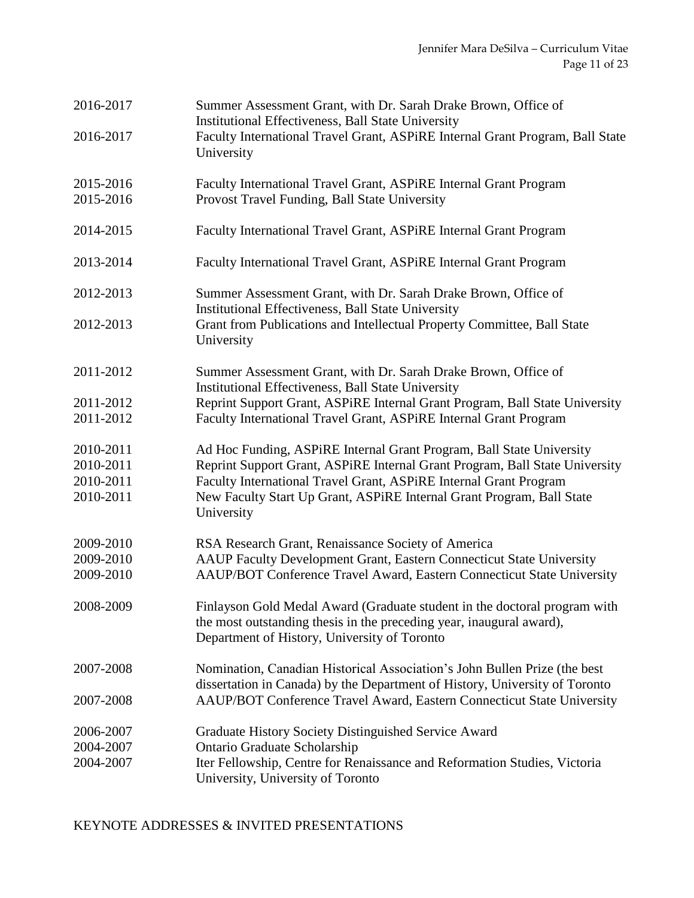| 2016-2017<br>2016-2017                           | Summer Assessment Grant, with Dr. Sarah Drake Brown, Office of<br>Institutional Effectiveness, Ball State University<br>Faculty International Travel Grant, ASPIRE Internal Grant Program, Ball State<br>University                                                                                             |
|--------------------------------------------------|-----------------------------------------------------------------------------------------------------------------------------------------------------------------------------------------------------------------------------------------------------------------------------------------------------------------|
| 2015-2016<br>2015-2016                           | Faculty International Travel Grant, ASPiRE Internal Grant Program<br>Provost Travel Funding, Ball State University                                                                                                                                                                                              |
| 2014-2015                                        | Faculty International Travel Grant, ASPiRE Internal Grant Program                                                                                                                                                                                                                                               |
| 2013-2014                                        | Faculty International Travel Grant, ASPiRE Internal Grant Program                                                                                                                                                                                                                                               |
| 2012-2013                                        | Summer Assessment Grant, with Dr. Sarah Drake Brown, Office of<br><b>Institutional Effectiveness, Ball State University</b>                                                                                                                                                                                     |
| 2012-2013                                        | Grant from Publications and Intellectual Property Committee, Ball State<br>University                                                                                                                                                                                                                           |
| 2011-2012                                        | Summer Assessment Grant, with Dr. Sarah Drake Brown, Office of<br><b>Institutional Effectiveness, Ball State University</b>                                                                                                                                                                                     |
| 2011-2012<br>2011-2012                           | Reprint Support Grant, ASPiRE Internal Grant Program, Ball State University<br>Faculty International Travel Grant, ASPiRE Internal Grant Program                                                                                                                                                                |
| 2010-2011<br>2010-2011<br>2010-2011<br>2010-2011 | Ad Hoc Funding, ASPiRE Internal Grant Program, Ball State University<br>Reprint Support Grant, ASPiRE Internal Grant Program, Ball State University<br>Faculty International Travel Grant, ASPiRE Internal Grant Program<br>New Faculty Start Up Grant, ASPiRE Internal Grant Program, Ball State<br>University |
| 2009-2010<br>2009-2010<br>2009-2010              | RSA Research Grant, Renaissance Society of America<br>AAUP Faculty Development Grant, Eastern Connecticut State University<br>AAUP/BOT Conference Travel Award, Eastern Connecticut State University                                                                                                            |
| 2008-2009                                        | Finlayson Gold Medal Award (Graduate student in the doctoral program with<br>the most outstanding thesis in the preceding year, inaugural award),<br>Department of History, University of Toronto                                                                                                               |
| 2007-2008                                        | Nomination, Canadian Historical Association's John Bullen Prize (the best<br>dissertation in Canada) by the Department of History, University of Toronto                                                                                                                                                        |
| 2007-2008                                        | AAUP/BOT Conference Travel Award, Eastern Connecticut State University                                                                                                                                                                                                                                          |
| 2006-2007<br>2004-2007<br>2004-2007              | Graduate History Society Distinguished Service Award<br>Ontario Graduate Scholarship<br>Iter Fellowship, Centre for Renaissance and Reformation Studies, Victoria<br>University, University of Toronto                                                                                                          |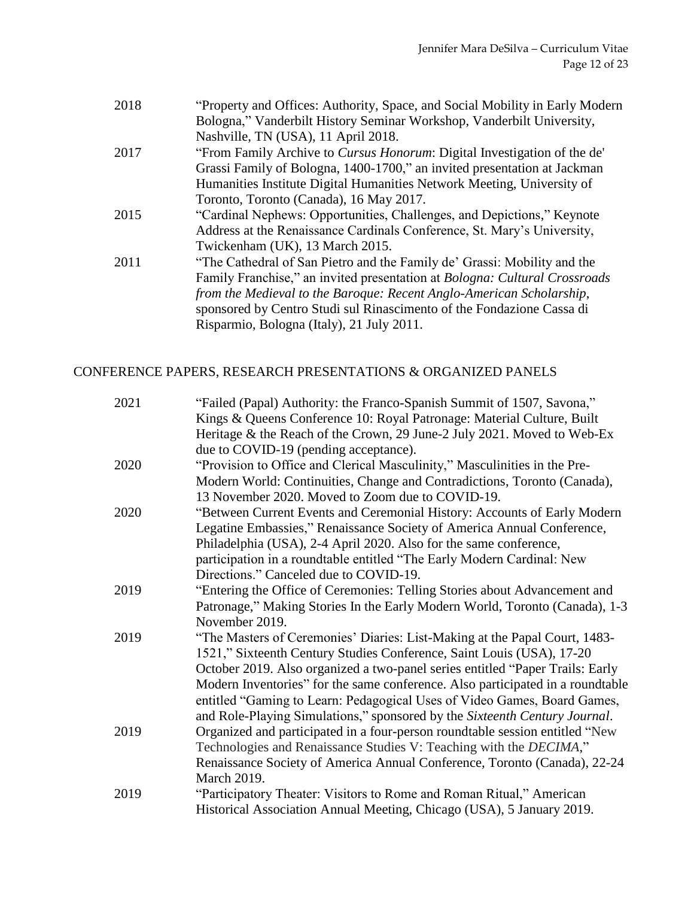| 2018 | "Property and Offices: Authority, Space, and Social Mobility in Early Modern |
|------|------------------------------------------------------------------------------|
|      | Bologna," Vanderbilt History Seminar Workshop, Vanderbilt University,        |
|      | Nashville, TN (USA), 11 April 2018.                                          |

- 2017 "From Family Archive to *Cursus Honorum*: Digital Investigation of the de' Grassi Family of Bologna, 1400-1700," an invited presentation at Jackman Humanities Institute Digital Humanities Network Meeting, University of Toronto, Toronto (Canada), 16 May 2017.
- 2015 "Cardinal Nephews: Opportunities, Challenges, and Depictions," Keynote Address at the Renaissance Cardinals Conference, St. Mary's University, Twickenham (UK), 13 March 2015.
- 2011 "The Cathedral of San Pietro and the Family de' Grassi: Mobility and the Family Franchise," an invited presentation at *Bologna: Cultural Crossroads from the Medieval to the Baroque: Recent Anglo-American Scholarship*, sponsored by Centro Studi sul Rinascimento of the Fondazione Cassa di Risparmio, Bologna (Italy), 21 July 2011.

#### CONFERENCE PAPERS, RESEARCH PRESENTATIONS & ORGANIZED PANELS

| 2021 | "Failed (Papal) Authority: the Franco-Spanish Summit of 1507, Savona,"         |
|------|--------------------------------------------------------------------------------|
|      | Kings & Queens Conference 10: Royal Patronage: Material Culture, Built         |
|      | Heritage & the Reach of the Crown, 29 June-2 July 2021. Moved to Web-Ex        |
|      | due to COVID-19 (pending acceptance).                                          |
| 2020 | "Provision to Office and Clerical Masculinity," Masculinities in the Pre-      |
|      | Modern World: Continuities, Change and Contradictions, Toronto (Canada),       |
|      | 13 November 2020. Moved to Zoom due to COVID-19.                               |
| 2020 | "Between Current Events and Ceremonial History: Accounts of Early Modern       |
|      | Legatine Embassies," Renaissance Society of America Annual Conference,         |
|      | Philadelphia (USA), 2-4 April 2020. Also for the same conference,              |
|      | participation in a roundtable entitled "The Early Modern Cardinal: New         |
|      | Directions." Canceled due to COVID-19.                                         |
| 2019 | "Entering the Office of Ceremonies: Telling Stories about Advancement and      |
|      | Patronage," Making Stories In the Early Modern World, Toronto (Canada), 1-3    |
|      | November 2019.                                                                 |
| 2019 | "The Masters of Ceremonies' Diaries: List-Making at the Papal Court, 1483-     |
|      | 1521," Sixteenth Century Studies Conference, Saint Louis (USA), 17-20          |
|      | October 2019. Also organized a two-panel series entitled "Paper Trails: Early  |
|      | Modern Inventories" for the same conference. Also participated in a roundtable |
|      | entitled "Gaming to Learn: Pedagogical Uses of Video Games, Board Games,       |
|      | and Role-Playing Simulations," sponsored by the Sixteenth Century Journal.     |
| 2019 | Organized and participated in a four-person roundtable session entitled "New   |
|      | Technologies and Renaissance Studies V: Teaching with the DECIMA,"             |
|      | Renaissance Society of America Annual Conference, Toronto (Canada), 22-24      |
|      | March 2019.                                                                    |
| 2019 | "Participatory Theater: Visitors to Rome and Roman Ritual," American           |
|      | Historical Association Annual Meeting, Chicago (USA), 5 January 2019.          |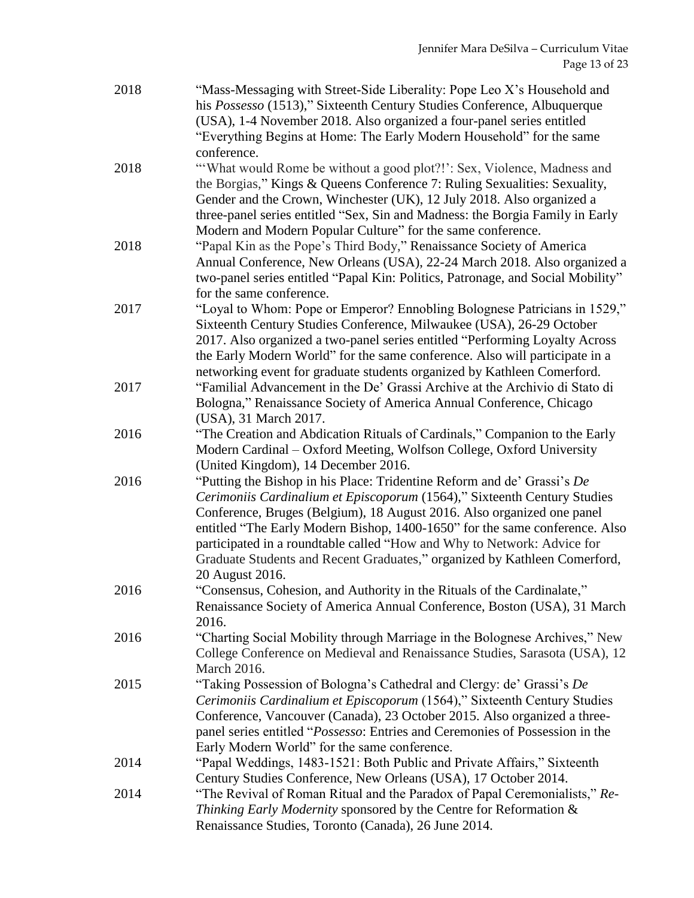| 2018 | "Mass-Messaging with Street-Side Liberality: Pope Leo X's Household and<br>his Possesso (1513)," Sixteenth Century Studies Conference, Albuquerque<br>(USA), 1-4 November 2018. Also organized a four-panel series entitled<br>"Everything Begins at Home: The Early Modern Household" for the same                                                                                                                                                                                     |
|------|-----------------------------------------------------------------------------------------------------------------------------------------------------------------------------------------------------------------------------------------------------------------------------------------------------------------------------------------------------------------------------------------------------------------------------------------------------------------------------------------|
| 2018 | conference.<br>"What would Rome be without a good plot?!": Sex, Violence, Madness and<br>the Borgias," Kings & Queens Conference 7: Ruling Sexualities: Sexuality,<br>Gender and the Crown, Winchester (UK), 12 July 2018. Also organized a<br>three-panel series entitled "Sex, Sin and Madness: the Borgia Family in Early<br>Modern and Modern Popular Culture" for the same conference.                                                                                             |
| 2018 | "Papal Kin as the Pope's Third Body," Renaissance Society of America<br>Annual Conference, New Orleans (USA), 22-24 March 2018. Also organized a<br>two-panel series entitled "Papal Kin: Politics, Patronage, and Social Mobility"<br>for the same conference.                                                                                                                                                                                                                         |
| 2017 | "Loyal to Whom: Pope or Emperor? Ennobling Bolognese Patricians in 1529,"<br>Sixteenth Century Studies Conference, Milwaukee (USA), 26-29 October<br>2017. Also organized a two-panel series entitled "Performing Loyalty Across<br>the Early Modern World" for the same conference. Also will participate in a<br>networking event for graduate students organized by Kathleen Comerford.                                                                                              |
| 2017 | "Familial Advancement in the De' Grassi Archive at the Archivio di Stato di<br>Bologna," Renaissance Society of America Annual Conference, Chicago<br>(USA), 31 March 2017.                                                                                                                                                                                                                                                                                                             |
| 2016 | "The Creation and Abdication Rituals of Cardinals," Companion to the Early<br>Modern Cardinal – Oxford Meeting, Wolfson College, Oxford University<br>(United Kingdom), 14 December 2016.                                                                                                                                                                                                                                                                                               |
| 2016 | "Putting the Bishop in his Place: Tridentine Reform and de' Grassi's De<br>Cerimoniis Cardinalium et Episcoporum (1564)," Sixteenth Century Studies<br>Conference, Bruges (Belgium), 18 August 2016. Also organized one panel<br>entitled "The Early Modern Bishop, 1400-1650" for the same conference. Also<br>participated in a roundtable called "How and Why to Network: Advice for<br>Graduate Students and Recent Graduates," organized by Kathleen Comerford,<br>20 August 2016. |
| 2016 | "Consensus, Cohesion, and Authority in the Rituals of the Cardinalate,"<br>Renaissance Society of America Annual Conference, Boston (USA), 31 March<br>2016.                                                                                                                                                                                                                                                                                                                            |
| 2016 | "Charting Social Mobility through Marriage in the Bolognese Archives," New<br>College Conference on Medieval and Renaissance Studies, Sarasota (USA), 12<br>March 2016.                                                                                                                                                                                                                                                                                                                 |
| 2015 | "Taking Possession of Bologna's Cathedral and Clergy: de' Grassi's De<br>Cerimoniis Cardinalium et Episcoporum (1564)," Sixteenth Century Studies<br>Conference, Vancouver (Canada), 23 October 2015. Also organized a three-<br>panel series entitled "Possesso: Entries and Ceremonies of Possession in the<br>Early Modern World" for the same conference.                                                                                                                           |
| 2014 | "Papal Weddings, 1483-1521: Both Public and Private Affairs," Sixteenth<br>Century Studies Conference, New Orleans (USA), 17 October 2014.                                                                                                                                                                                                                                                                                                                                              |
| 2014 | "The Revival of Roman Ritual and the Paradox of Papal Ceremonialists," Re-<br>Thinking Early Modernity sponsored by the Centre for Reformation &<br>Renaissance Studies, Toronto (Canada), 26 June 2014.                                                                                                                                                                                                                                                                                |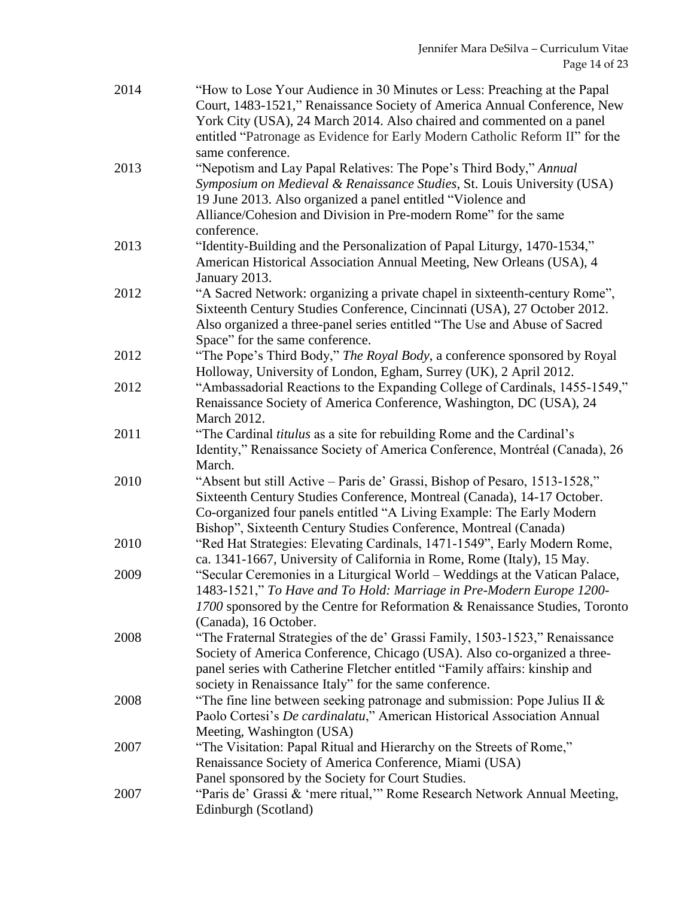| 2014 | "How to Lose Your Audience in 30 Minutes or Less: Preaching at the Papal<br>Court, 1483-1521," Renaissance Society of America Annual Conference, New<br>York City (USA), 24 March 2014. Also chaired and commented on a panel<br>entitled "Patronage as Evidence for Early Modern Catholic Reform II" for the     |
|------|-------------------------------------------------------------------------------------------------------------------------------------------------------------------------------------------------------------------------------------------------------------------------------------------------------------------|
| 2013 | same conference.<br>"Nepotism and Lay Papal Relatives: The Pope's Third Body," Annual<br>Symposium on Medieval & Renaissance Studies, St. Louis University (USA)<br>19 June 2013. Also organized a panel entitled "Violence and<br>Alliance/Cohesion and Division in Pre-modern Rome" for the same<br>conference. |
| 2013 | "Identity-Building and the Personalization of Papal Liturgy, 1470-1534,"<br>American Historical Association Annual Meeting, New Orleans (USA), 4<br>January 2013.                                                                                                                                                 |
| 2012 | "A Sacred Network: organizing a private chapel in sixteenth-century Rome",<br>Sixteenth Century Studies Conference, Cincinnati (USA), 27 October 2012.<br>Also organized a three-panel series entitled "The Use and Abuse of Sacred<br>Space" for the same conference.                                            |
| 2012 | "The Pope's Third Body," The Royal Body, a conference sponsored by Royal<br>Holloway, University of London, Egham, Surrey (UK), 2 April 2012.                                                                                                                                                                     |
| 2012 | "Ambassadorial Reactions to the Expanding College of Cardinals, 1455-1549,"<br>Renaissance Society of America Conference, Washington, DC (USA), 24<br><b>March 2012.</b>                                                                                                                                          |
| 2011 | "The Cardinal titulus as a site for rebuilding Rome and the Cardinal's<br>Identity," Renaissance Society of America Conference, Montréal (Canada), 26<br>March.                                                                                                                                                   |
| 2010 | "Absent but still Active – Paris de' Grassi, Bishop of Pesaro, 1513-1528,"<br>Sixteenth Century Studies Conference, Montreal (Canada), 14-17 October.<br>Co-organized four panels entitled "A Living Example: The Early Modern<br>Bishop", Sixteenth Century Studies Conference, Montreal (Canada)                |
| 2010 | "Red Hat Strategies: Elevating Cardinals, 1471-1549", Early Modern Rome,<br>ca. 1341-1667, University of California in Rome, Rome (Italy), 15 May.                                                                                                                                                                |
| 2009 | "Secular Ceremonies in a Liturgical World - Weddings at the Vatican Palace,<br>1483-1521," To Have and To Hold: Marriage in Pre-Modern Europe 1200-<br>1700 sponsored by the Centre for Reformation & Renaissance Studies, Toronto<br>(Canada), 16 October.                                                       |
| 2008 | "The Fraternal Strategies of the de' Grassi Family, 1503-1523," Renaissance<br>Society of America Conference, Chicago (USA). Also co-organized a three-<br>panel series with Catherine Fletcher entitled "Family affairs: kinship and<br>society in Renaissance Italy" for the same conference.                   |
| 2008 | "The fine line between seeking patronage and submission: Pope Julius II $\&$<br>Paolo Cortesi's De cardinalatu," American Historical Association Annual<br>Meeting, Washington (USA)                                                                                                                              |
| 2007 | "The Visitation: Papal Ritual and Hierarchy on the Streets of Rome,"<br>Renaissance Society of America Conference, Miami (USA)<br>Panel sponsored by the Society for Court Studies.                                                                                                                               |
| 2007 | "Paris de' Grassi & 'mere ritual," Rome Research Network Annual Meeting,<br>Edinburgh (Scotland)                                                                                                                                                                                                                  |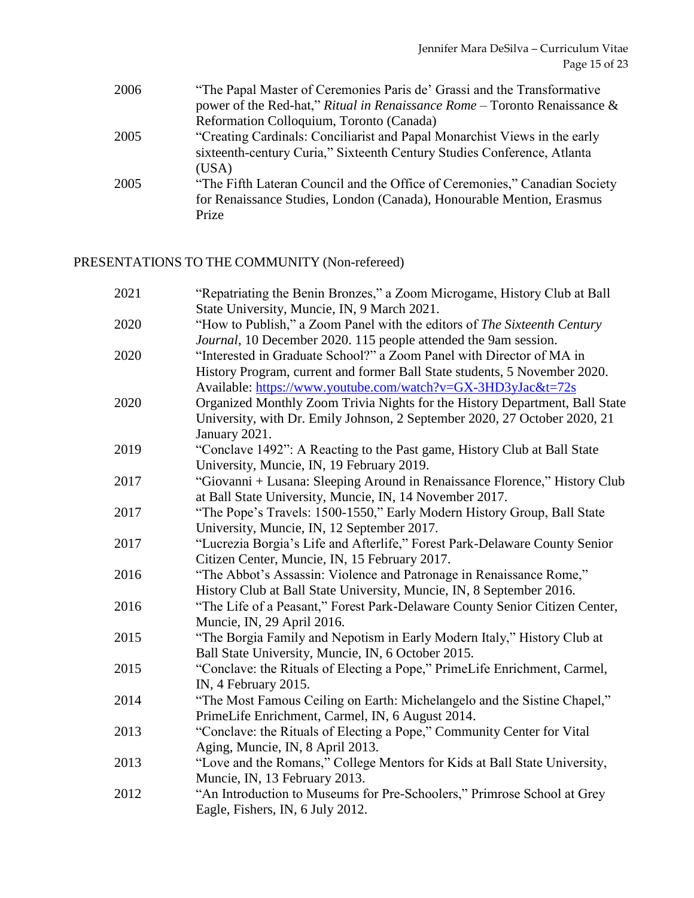| 2006 | "The Papal Master of Ceremonies Paris de' Grassi and the Transformative      |
|------|------------------------------------------------------------------------------|
|      | power of the Red-hat," Ritual in Renaissance Rome – Toronto Renaissance $\&$ |
|      | Reformation Colloquium, Toronto (Canada)                                     |
| 2005 | "Creating Cardinals: Conciliarist and Papal Monarchist Views in the early    |
|      | sixteenth-century Curia," Sixteenth Century Studies Conference, Atlanta      |
|      | (USA)                                                                        |
| 2005 | "The Fifth Lateran Council and the Office of Ceremonies," Canadian Society   |
|      | for Renaissance Studies, London (Canada), Honourable Mention, Erasmus        |
|      | Prize                                                                        |

### PRESENTATIONS TO THE COMMUNITY (Non-refereed)

| 2021 | "Repatriating the Benin Bronzes," a Zoom Microgame, History Club at Ball    |
|------|-----------------------------------------------------------------------------|
|      | State University, Muncie, IN, 9 March 2021.                                 |
| 2020 | "How to Publish," a Zoom Panel with the editors of The Sixteenth Century    |
|      | Journal, 10 December 2020. 115 people attended the 9am session.             |
| 2020 | "Interested in Graduate School?" a Zoom Panel with Director of MA in        |
|      | History Program, current and former Ball State students, 5 November 2020.   |
|      | Available: https://www.youtube.com/watch?v=GX-3HD3yJac&t=72s                |
| 2020 | Organized Monthly Zoom Trivia Nights for the History Department, Ball State |
|      | University, with Dr. Emily Johnson, 2 September 2020, 27 October 2020, 21   |
|      | January 2021.                                                               |
| 2019 | "Conclave 1492": A Reacting to the Past game, History Club at Ball State    |
|      | University, Muncie, IN, 19 February 2019.                                   |
| 2017 | "Giovanni + Lusana: Sleeping Around in Renaissance Florence," History Club  |
|      | at Ball State University, Muncie, IN, 14 November 2017.                     |
| 2017 | "The Pope's Travels: 1500-1550," Early Modern History Group, Ball State     |
|      | University, Muncie, IN, 12 September 2017.                                  |
| 2017 | "Lucrezia Borgia's Life and Afterlife," Forest Park-Delaware County Senior  |
|      | Citizen Center, Muncie, IN, 15 February 2017.                               |
| 2016 | "The Abbot's Assassin: Violence and Patronage in Renaissance Rome,"         |
|      | History Club at Ball State University, Muncie, IN, 8 September 2016.        |
| 2016 | "The Life of a Peasant," Forest Park-Delaware County Senior Citizen Center, |
|      | Muncie, IN, 29 April 2016.                                                  |
| 2015 | "The Borgia Family and Nepotism in Early Modern Italy," History Club at     |
|      | Ball State University, Muncie, IN, 6 October 2015.                          |
| 2015 | "Conclave: the Rituals of Electing a Pope," PrimeLife Enrichment, Carmel,   |
|      | IN, 4 February 2015.                                                        |
| 2014 | "The Most Famous Ceiling on Earth: Michelangelo and the Sistine Chapel,"    |
|      | PrimeLife Enrichment, Carmel, IN, 6 August 2014.                            |
| 2013 | "Conclave: the Rituals of Electing a Pope," Community Center for Vital      |
|      | Aging, Muncie, IN, 8 April 2013.                                            |
| 2013 | "Love and the Romans," College Mentors for Kids at Ball State University,   |
|      | Muncie, IN, 13 February 2013.                                               |
| 2012 | "An Introduction to Museums for Pre-Schoolers," Primrose School at Grey     |
|      | Eagle, Fishers, IN, 6 July 2012.                                            |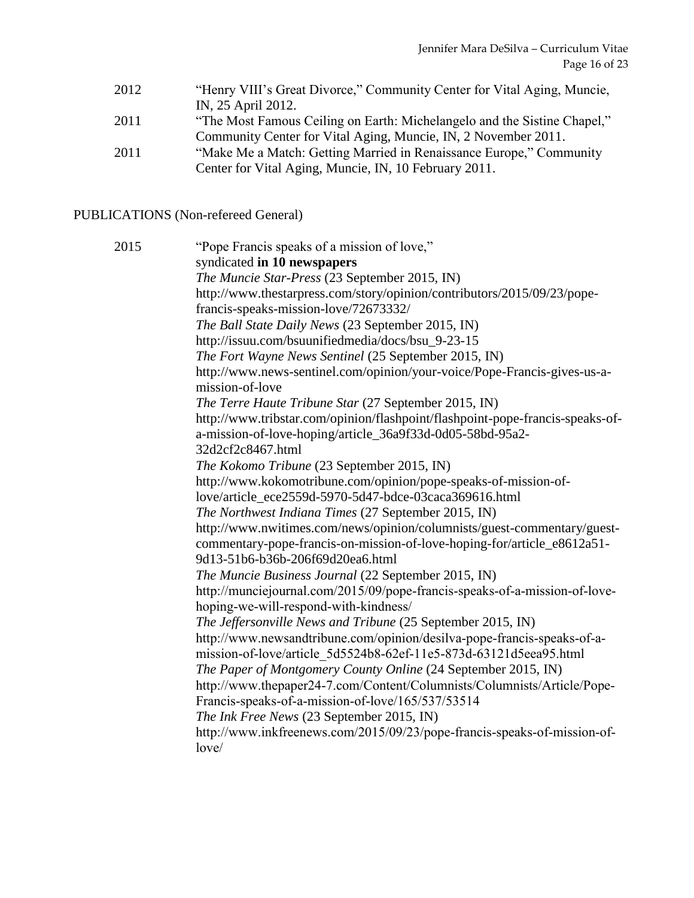- 2012 "Henry VIII's Great Divorce," Community Center for Vital Aging, Muncie, IN, 25 April 2012.
- 2011 "The Most Famous Ceiling on Earth: Michelangelo and the Sistine Chapel," Community Center for Vital Aging, Muncie, IN, 2 November 2011.
- 2011 "Make Me a Match: Getting Married in Renaissance Europe," Community Center for Vital Aging, Muncie, IN, 10 February 2011.

#### PUBLICATIONS (Non-refereed General)

2015 "Pope Francis speaks of a mission of love," syndicated **in 10 newspapers** *The Muncie Star-Press* (23 September 2015, IN) http://www.thestarpress.com/story/opinion/contributors/2015/09/23/popefrancis-speaks-mission-love/72673332/ *The Ball State Daily News* (23 September 2015, IN) http://issuu.com/bsuunifiedmedia/docs/bsu\_9-23-15 *The Fort Wayne News Sentinel* (25 September 2015, IN) http://www.news-sentinel.com/opinion/your-voice/Pope-Francis-gives-us-amission-of-love *The Terre Haute Tribune Star* (27 September 2015, IN) http://www.tribstar.com/opinion/flashpoint/flashpoint-pope-francis-speaks-ofa-mission-of-love-hoping/article\_36a9f33d-0d05-58bd-95a2- 32d2cf2c8467.html *The Kokomo Tribune* (23 September 2015, IN) http://www.kokomotribune.com/opinion/pope-speaks-of-mission-oflove/article\_ece2559d-5970-5d47-bdce-03caca369616.html *The Northwest Indiana Times* (27 September 2015, IN) http://www.nwitimes.com/news/opinion/columnists/guest-commentary/guestcommentary-pope-francis-on-mission-of-love-hoping-for/article\_e8612a51- 9d13-51b6-b36b-206f69d20ea6.html *The Muncie Business Journal* (22 September 2015, IN) http://munciejournal.com/2015/09/pope-francis-speaks-of-a-mission-of-lovehoping-we-will-respond-with-kindness/ *The Jeffersonville News and Tribune* (25 September 2015, IN) http://www.newsandtribune.com/opinion/desilva-pope-francis-speaks-of-amission-of-love/article\_5d5524b8-62ef-11e5-873d-63121d5eea95.html *The Paper of Montgomery County Online* (24 September 2015, IN) http://www.thepaper24-7.com/Content/Columnists/Columnists/Article/Pope-Francis-speaks-of-a-mission-of-love/165/537/53514 *The Ink Free News* (23 September 2015, IN) http://www.inkfreenews.com/2015/09/23/pope-francis-speaks-of-mission-oflove/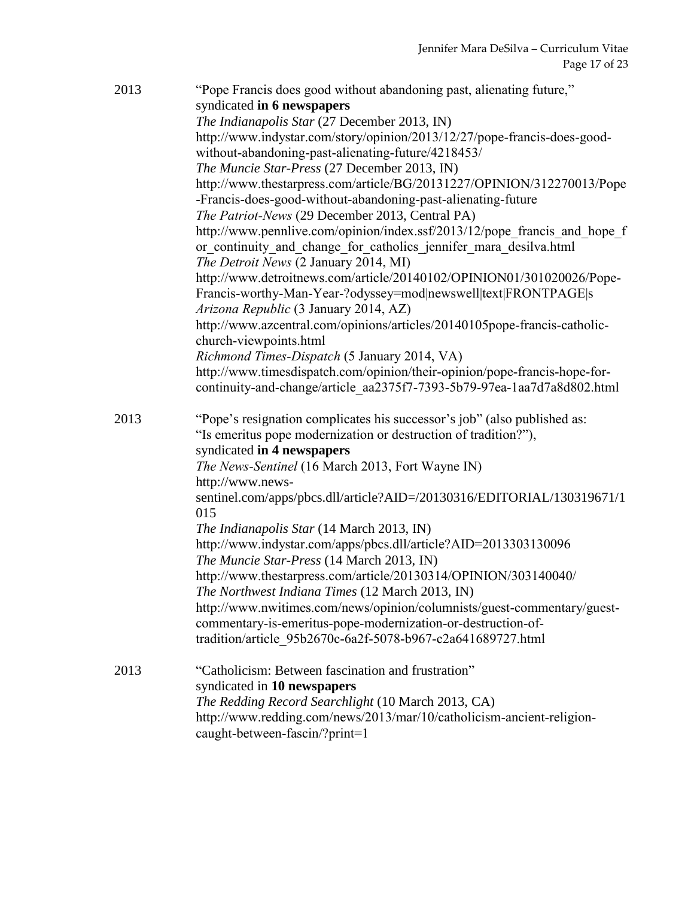| 2013 | "Pope Francis does good without abandoning past, alienating future,"<br>syndicated in 6 newspapers<br>The Indianapolis Star (27 December 2013, IN)<br>http://www.indystar.com/story/opinion/2013/12/27/pope-francis-does-good-<br>without-abandoning-past-alienating-future/4218453/<br>The Muncie Star-Press (27 December 2013, IN)<br>http://www.thestarpress.com/article/BG/20131227/OPINION/312270013/Pope<br>-Francis-does-good-without-abandoning-past-alienating-future<br>The Patriot-News (29 December 2013, Central PA)<br>http://www.pennlive.com/opinion/index.ssf/2013/12/pope_francis_and_hope_f<br>or continuity and change for catholics jennifer mara desilva.html<br>The Detroit News (2 January 2014, MI)<br>http://www.detroitnews.com/article/20140102/OPINION01/301020026/Pope-<br>Francis-worthy-Man-Year-?odyssey=mod newswell text FRONTPAGE s<br>Arizona Republic (3 January 2014, AZ)<br>http://www.azcentral.com/opinions/articles/20140105pope-francis-catholic-<br>church-viewpoints.html<br>Richmond Times-Dispatch (5 January 2014, VA)<br>http://www.timesdispatch.com/opinion/their-opinion/pope-francis-hope-for-<br>continuity-and-change/article_aa2375f7-7393-5b79-97ea-1aa7d7a8d802.html |
|------|---------------------------------------------------------------------------------------------------------------------------------------------------------------------------------------------------------------------------------------------------------------------------------------------------------------------------------------------------------------------------------------------------------------------------------------------------------------------------------------------------------------------------------------------------------------------------------------------------------------------------------------------------------------------------------------------------------------------------------------------------------------------------------------------------------------------------------------------------------------------------------------------------------------------------------------------------------------------------------------------------------------------------------------------------------------------------------------------------------------------------------------------------------------------------------------------------------------------------------|
| 2013 | "Pope's resignation complicates his successor's job" (also published as:<br>"Is emeritus pope modernization or destruction of tradition?"),<br>syndicated in 4 newspapers<br>The News-Sentinel (16 March 2013, Fort Wayne IN)<br>http://www.news-<br>sentinel.com/apps/pbcs.dll/article?AID=/20130316/EDITORIAL/130319671/1<br>015<br>The Indianapolis Star (14 March 2013, IN)<br>http://www.indystar.com/apps/pbcs.dll/article?AID=2013303130096<br>The Muncie Star-Press (14 March 2013, IN)<br>http://www.thestarpress.com/article/20130314/OPINION/303140040/<br>The Northwest Indiana Times (12 March 2013, IN)<br>http://www.nwitimes.com/news/opinion/columnists/guest-commentary/guest-<br>commentary-is-emeritus-pope-modernization-or-destruction-of-<br>tradition/article 95b2670c-6a2f-5078-b967-c2a641689727.html                                                                                                                                                                                                                                                                                                                                                                                                 |
| 2013 | "Catholicism: Between fascination and frustration"<br>syndicated in 10 newspapers<br>The Redding Record Searchlight (10 March 2013, CA)<br>http://www.redding.com/news/2013/mar/10/catholicism-ancient-religion-<br>caught-between-fascin/?print=1                                                                                                                                                                                                                                                                                                                                                                                                                                                                                                                                                                                                                                                                                                                                                                                                                                                                                                                                                                              |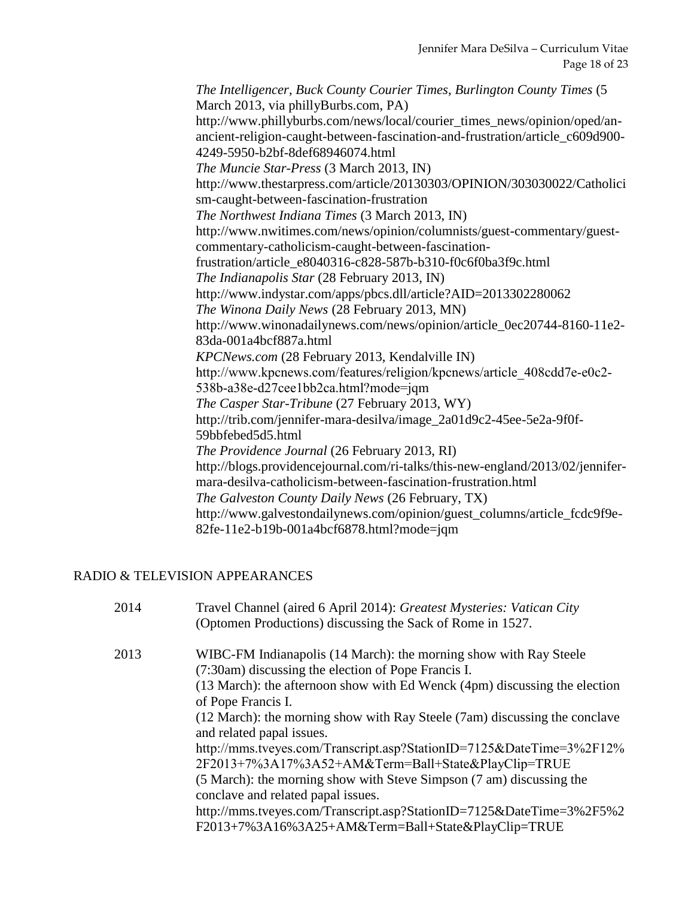*The Intelligencer*, *Buck County Courier Times*, *Burlington County Times* (5 March 2013, via phillyBurbs.com, PA) http://www.phillyburbs.com/news/local/courier\_times\_news/opinion/oped/anancient-religion-caught-between-fascination-and-frustration/article\_c609d900- 4249-5950-b2bf-8def68946074.html *The Muncie Star-Press* (3 March 2013, IN) http://www.thestarpress.com/article/20130303/OPINION/303030022/Catholici sm-caught-between-fascination-frustration *The Northwest Indiana Times* (3 March 2013, IN) http://www.nwitimes.com/news/opinion/columnists/guest-commentary/guestcommentary-catholicism-caught-between-fascinationfrustration/article\_e8040316-c828-587b-b310-f0c6f0ba3f9c.html *The Indianapolis Star* (28 February 2013, IN) [http://www.indystar.com/apps/pbcs.dll/article?AID=2013302280062](https://bl2prd0511.outlook.com/owa/redir.aspx?C=T86NoO3vr0-pyD7Jmtrp2gf0XgDl6M8IG1i124kXy9ELhsdYIldIeVYzKcMIm7f9cnIJzjYKljA.&URL=http%3a%2f%2fwww.indystar.com%2fapps%2fpbcs.dll%2farticle%3fAID%3d2013302280062) *The Winona Daily News* (28 February 2013, MN) http://www.winonadailynews.com/news/opinion/article\_0ec20744-8160-11e2- 83da-001a4bcf887a.html *KPCNews.com* (28 February 2013, Kendalville IN) http://www.kpcnews.com/features/religion/kpcnews/article\_408cdd7e-e0c2- 538b-a38e-d27cee1bb2ca.html?mode=jqm *The Casper Star-Tribune* (27 February 2013, WY) http://trib.com/jennifer-mara-desilva/image\_2a01d9c2-45ee-5e2a-9f0f-59bbfebed5d5.html *The Providence Journal* (26 February 2013, RI) http://blogs.providencejournal.com/ri-talks/this-new-england/2013/02/jennifermara-desilva-catholicism-between-fascination-frustration.html *The Galveston County Daily News* (26 February, TX) http://www.galvestondailynews.com/opinion/guest\_columns/article\_fcdc9f9e-82fe-11e2-b19b-001a4bcf6878.html?mode=jqm

#### RADIO & TELEVISION APPEARANCES

| 2014 | Travel Channel (aired 6 April 2014): Greatest Mysteries: Vatican City<br>(Optomen Productions) discussing the Sack of Rome in 1527.                                                                    |
|------|--------------------------------------------------------------------------------------------------------------------------------------------------------------------------------------------------------|
| 2013 | WIBC-FM Indianapolis (14 March): the morning show with Ray Steele<br>(7:30am) discussing the election of Pope Francis I.<br>(13 March): the afternoon show with Ed Wenck (4pm) discussing the election |
|      | of Pope Francis I.                                                                                                                                                                                     |
|      | (12 March): the morning show with Ray Steele (7am) discussing the conclave<br>and related papal issues.                                                                                                |
|      | http://mms.tveyes.com/Transcript.asp?StationID=7125&DateTime=3%2F12%<br>2F2013+7%3A17%3A52+AM&Term=Ball+State&PlayClip=TRUE                                                                            |
|      | (5 March): the morning show with Steve Simpson (7 am) discussing the<br>conclave and related papal issues.                                                                                             |
|      | http://mms.tveyes.com/Transcript.asp?StationID=7125&DateTime=3%2F5%2<br>F2013+7%3A16%3A25+AM&Term=Ball+State&PlayClip=TRUE                                                                             |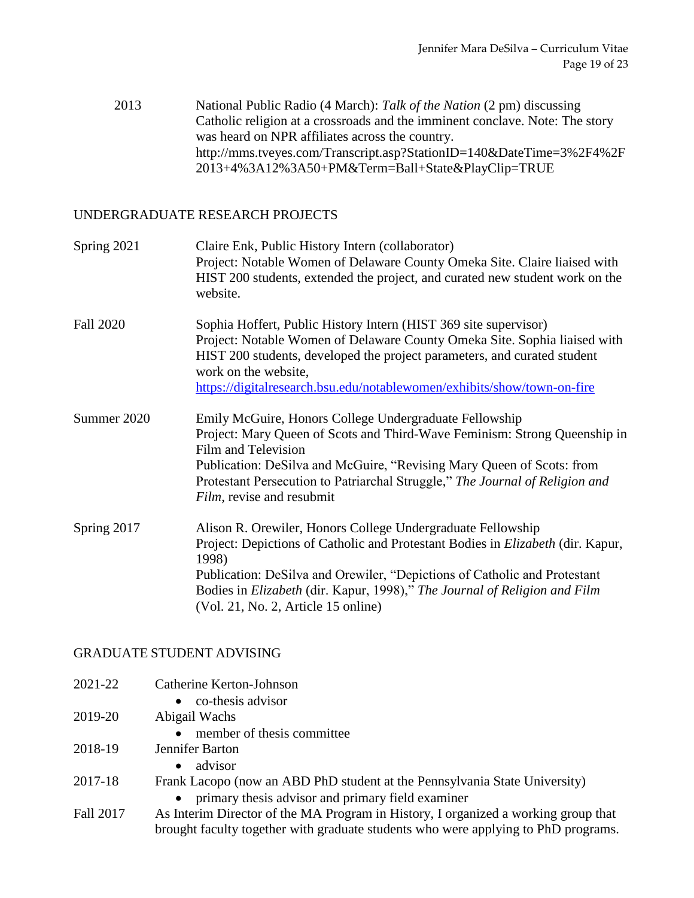2013 National Public Radio (4 March): *Talk of the Nation* (2 pm) discussing Catholic religion at a crossroads and the imminent conclave. Note: The story was heard on NPR affiliates across the country. [http://mms.tveyes.com/Transcript.asp?StationID=140&DateTime=3%2F4%2F](https://bl2prd0511.outlook.com/owa/redir.aspx?C=n-8XcVSzxkuLIPESB8N1m2Br07VK7c8ICslYrX8sn0e8L5PL8oypelRBh5niHn63mEEQ1vpsm8w.&URL=http%3a%2f%2fmms.tveyes.com%2fTranscript.asp%3fStationID%3d140%26DateTime%3d3%2F4%2F2013%2b4%3A12%3A50%2bPM%26Term%3dBall%2bState%26PlayClip%3dTRUE) [2013+4%3A12%3A50+PM&Term=Ball+State&PlayClip=TRUE](https://bl2prd0511.outlook.com/owa/redir.aspx?C=n-8XcVSzxkuLIPESB8N1m2Br07VK7c8ICslYrX8sn0e8L5PL8oypelRBh5niHn63mEEQ1vpsm8w.&URL=http%3a%2f%2fmms.tveyes.com%2fTranscript.asp%3fStationID%3d140%26DateTime%3d3%2F4%2F2013%2b4%3A12%3A50%2bPM%26Term%3dBall%2bState%26PlayClip%3dTRUE)

#### UNDERGRADUATE RESEARCH PROJECTS

| Spring 2021      | Claire Enk, Public History Intern (collaborator)<br>Project: Notable Women of Delaware County Omeka Site. Claire liaised with<br>HIST 200 students, extended the project, and curated new student work on the<br>website.                                                                                                                                       |
|------------------|-----------------------------------------------------------------------------------------------------------------------------------------------------------------------------------------------------------------------------------------------------------------------------------------------------------------------------------------------------------------|
| <b>Fall 2020</b> | Sophia Hoffert, Public History Intern (HIST 369 site supervisor)<br>Project: Notable Women of Delaware County Omeka Site. Sophia liaised with<br>HIST 200 students, developed the project parameters, and curated student<br>work on the website,<br>https://digitalresearch.bsu.edu/notablewomen/exhibits/show/town-on-fire                                    |
| Summer 2020      | Emily McGuire, Honors College Undergraduate Fellowship<br>Project: Mary Queen of Scots and Third-Wave Feminism: Strong Queenship in<br>Film and Television<br>Publication: DeSilva and McGuire, "Revising Mary Queen of Scots: from<br>Protestant Persecution to Patriarchal Struggle," The Journal of Religion and<br>Film, revise and resubmit                |
| Spring 2017      | Alison R. Orewiler, Honors College Undergraduate Fellowship<br>Project: Depictions of Catholic and Protestant Bodies in <i>Elizabeth</i> (dir. Kapur,<br>1998)<br>Publication: DeSilva and Orewiler, "Depictions of Catholic and Protestant<br>Bodies in Elizabeth (dir. Kapur, 1998)," The Journal of Religion and Film<br>(Vol. 21, No. 2, Article 15 online) |

#### GRADUATE STUDENT ADVISING

| 2021-22   | Catherine Kerton-Johnson                                                         |
|-----------|----------------------------------------------------------------------------------|
|           | co-thesis advisor<br>$\bullet$                                                   |
| 2019-20   | Abigail Wachs                                                                    |
|           | member of thesis committee.<br>$\bullet$                                         |
| 2018-19   | Jennifer Barton                                                                  |
|           | advisor<br>$\bullet$                                                             |
| 2017-18   | Frank Lacopo (now an ABD PhD student at the Pennsylvania State University)       |
|           | primary thesis advisor and primary field examiner<br>$\bullet$                   |
| Eall 2017 | As Interim Director of the MA Program in History Lorganized a working group that |

Fall 2017 As Interim Director of the MA Program in History, I organized a working group that brought faculty together with graduate students who were applying to PhD programs.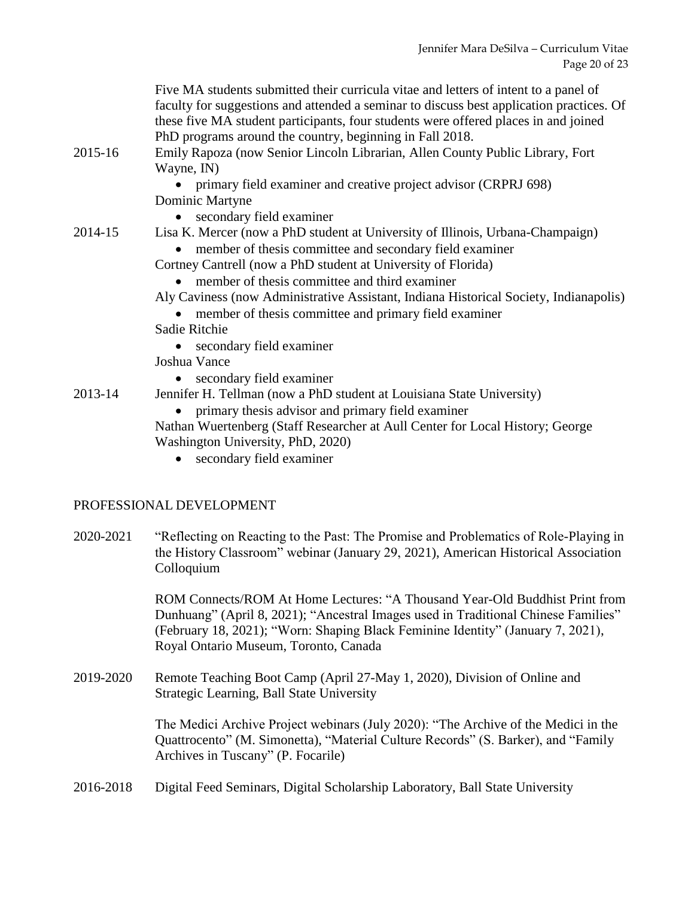|         | Five MA students submitted their curricula vitae and letters of intent to a panel of<br>faculty for suggestions and attended a seminar to discuss best application practices. Of<br>these five MA student participants, four students were offered places in and joined<br>PhD programs around the country, beginning in Fall 2018. |
|---------|-------------------------------------------------------------------------------------------------------------------------------------------------------------------------------------------------------------------------------------------------------------------------------------------------------------------------------------|
| 2015-16 | Emily Rapoza (now Senior Lincoln Librarian, Allen County Public Library, Fort<br>Wayne, IN)                                                                                                                                                                                                                                         |
|         | primary field examiner and creative project advisor (CRPRJ 698)                                                                                                                                                                                                                                                                     |
|         | Dominic Martyne                                                                                                                                                                                                                                                                                                                     |
|         | secondary field examiner                                                                                                                                                                                                                                                                                                            |
| 2014-15 | Lisa K. Mercer (now a PhD student at University of Illinois, Urbana-Champaign)                                                                                                                                                                                                                                                      |
|         | member of thesis committee and secondary field examiner                                                                                                                                                                                                                                                                             |
|         | Cortney Cantrell (now a PhD student at University of Florida)                                                                                                                                                                                                                                                                       |
|         | member of thesis committee and third examiner                                                                                                                                                                                                                                                                                       |
|         | Aly Caviness (now Administrative Assistant, Indiana Historical Society, Indianapolis)                                                                                                                                                                                                                                               |
|         | member of thesis committee and primary field examiner                                                                                                                                                                                                                                                                               |
|         | Sadie Ritchie                                                                                                                                                                                                                                                                                                                       |
|         | secondary field examiner                                                                                                                                                                                                                                                                                                            |
|         | Joshua Vance                                                                                                                                                                                                                                                                                                                        |
|         | secondary field examiner                                                                                                                                                                                                                                                                                                            |
| 2013-14 | Jennifer H. Tellman (now a PhD student at Louisiana State University)                                                                                                                                                                                                                                                               |
|         | primary thesis advisor and primary field examiner                                                                                                                                                                                                                                                                                   |
|         | Nathan Wuertenberg (Staff Researcher at Aull Center for Local History; George                                                                                                                                                                                                                                                       |
|         | Washington University, PhD, 2020)                                                                                                                                                                                                                                                                                                   |
|         | secondary field examiner                                                                                                                                                                                                                                                                                                            |
|         |                                                                                                                                                                                                                                                                                                                                     |

#### PROFESSIONAL DEVELOPMENT

2020-2021 "Reflecting on Reacting to the Past: The Promise and Problematics of Role-Playing in the History Classroom" webinar (January 29, 2021), American Historical Association Colloquium

> ROM Connects/ROM At Home Lectures: "A Thousand Year-Old Buddhist Print from Dunhuang" (April 8, 2021); "Ancestral Images used in Traditional Chinese Families" (February 18, 2021); "Worn: Shaping Black Feminine Identity" (January 7, 2021), Royal Ontario Museum, Toronto, Canada

2019-2020 Remote Teaching Boot Camp (April 27-May 1, 2020), Division of Online and Strategic Learning, Ball State University

> The Medici Archive Project webinars (July 2020): "The Archive of the Medici in the Quattrocento" (M. Simonetta), "Material Culture Records" (S. Barker), and "Family Archives in Tuscany" (P. Focarile)

2016-2018 Digital Feed Seminars, Digital Scholarship Laboratory, Ball State University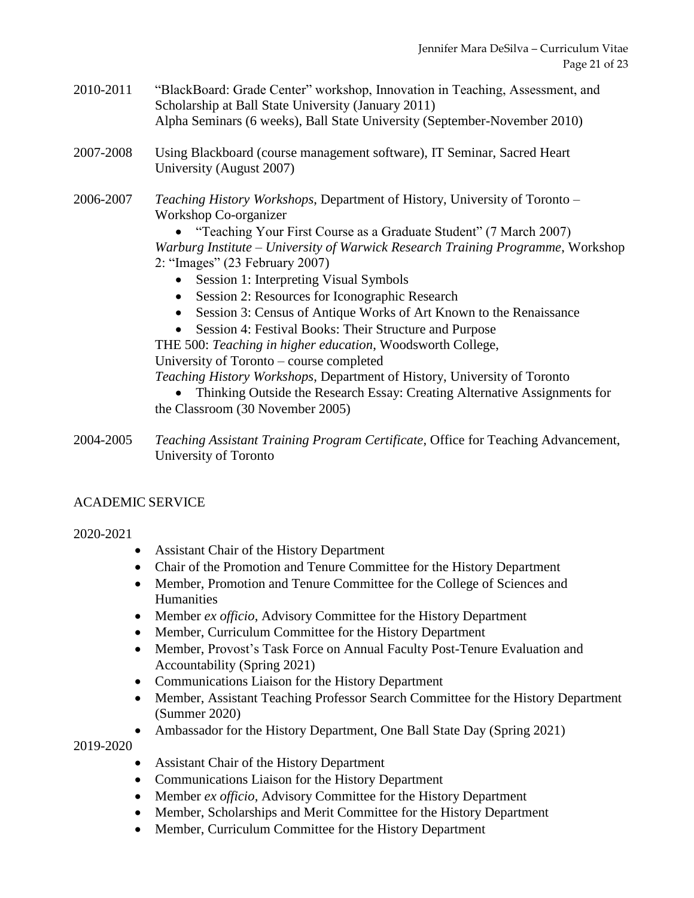- 2010-2011 "BlackBoard: Grade Center" workshop, Innovation in Teaching, Assessment, and Scholarship at Ball State University (January 2011) Alpha Seminars (6 weeks), Ball State University (September-November 2010)
- 2007-2008 Using Blackboard (course management software), IT Seminar, Sacred Heart University (August 2007)
- 2006-2007 *Teaching History Workshops*, Department of History, University of Toronto Workshop Co-organizer

• "Teaching Your First Course as a Graduate Student" (7 March 2007) *Warburg Institute – University of Warwick Research Training Programme*, Workshop 2: "Images" (23 February 2007)

- Session 1: Interpreting Visual Symbols
- Session 2: Resources for Iconographic Research
- Session 3: Census of Antique Works of Art Known to the Renaissance
- Session 4: Festival Books: Their Structure and Purpose

THE 500: *Teaching in higher education*, Woodsworth College,

University of Toronto – course completed

*Teaching History Workshops*, Department of History, University of Toronto

• Thinking Outside the Research Essay: Creating Alternative Assignments for the Classroom (30 November 2005)

2004-2005 *Teaching Assistant Training Program Certificate*, Office for Teaching Advancement, University of Toronto

### ACADEMIC SERVICE

### 2020-2021

- Assistant Chair of the History Department
- Chair of the Promotion and Tenure Committee for the History Department
- Member, Promotion and Tenure Committee for the College of Sciences and **Humanities**
- Member *ex officio*, Advisory Committee for the History Department
- Member, Curriculum Committee for the History Department
- Member, Provost's Task Force on Annual Faculty Post-Tenure Evaluation and Accountability (Spring 2021)
- Communications Liaison for the History Department
- Member, Assistant Teaching Professor Search Committee for the History Department (Summer 2020)
- Ambassador for the History Department, One Ball State Day (Spring 2021)

2019-2020

- Assistant Chair of the History Department
- Communications Liaison for the History Department
- Member *ex officio*, Advisory Committee for the History Department
- Member, Scholarships and Merit Committee for the History Department
- Member, Curriculum Committee for the History Department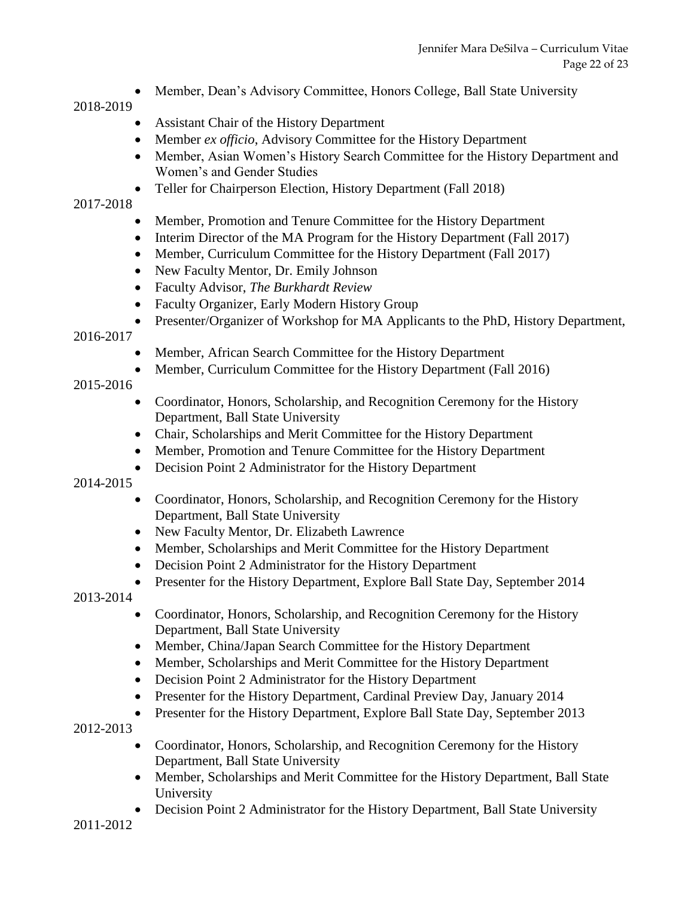• Member, Dean's Advisory Committee, Honors College, Ball State University

### 2018-2019

- Assistant Chair of the History Department
- Member *ex officio*, Advisory Committee for the History Department
- Member, Asian Women's History Search Committee for the History Department and Women's and Gender Studies
- Teller for Chairperson Election, History Department (Fall 2018)

### 2017-2018

- Member, Promotion and Tenure Committee for the History Department
- Interim Director of the MA Program for the History Department (Fall 2017)
- Member, Curriculum Committee for the History Department (Fall 2017)
- New Faculty Mentor, Dr. Emily Johnson
- Faculty Advisor, *The Burkhardt Review*
- Faculty Organizer, Early Modern History Group
- Presenter/Organizer of Workshop for MA Applicants to the PhD, History Department,

### 2016-2017

- Member, African Search Committee for the History Department
- Member, Curriculum Committee for the History Department (Fall 2016)

## 2015-2016

- Coordinator, Honors, Scholarship, and Recognition Ceremony for the History Department, Ball State University
- Chair, Scholarships and Merit Committee for the History Department
- Member, Promotion and Tenure Committee for the History Department
- Decision Point 2 Administrator for the History Department

### 2014-2015

- Coordinator, Honors, Scholarship, and Recognition Ceremony for the History Department, Ball State University
- New Faculty Mentor, Dr. Elizabeth Lawrence
- Member, Scholarships and Merit Committee for the History Department
- Decision Point 2 Administrator for the History Department
- Presenter for the History Department, Explore Ball State Day, September 2014
- 2013-2014
	- Coordinator, Honors, Scholarship, and Recognition Ceremony for the History Department, Ball State University
	- Member, China/Japan Search Committee for the History Department
	- Member, Scholarships and Merit Committee for the History Department
	- Decision Point 2 Administrator for the History Department
	- Presenter for the History Department, Cardinal Preview Day, January 2014
	- Presenter for the History Department, Explore Ball State Day, September 2013

2012-2013

- Coordinator, Honors, Scholarship, and Recognition Ceremony for the History Department, Ball State University
- Member, Scholarships and Merit Committee for the History Department, Ball State University
- Decision Point 2 Administrator for the History Department, Ball State University

2011-2012